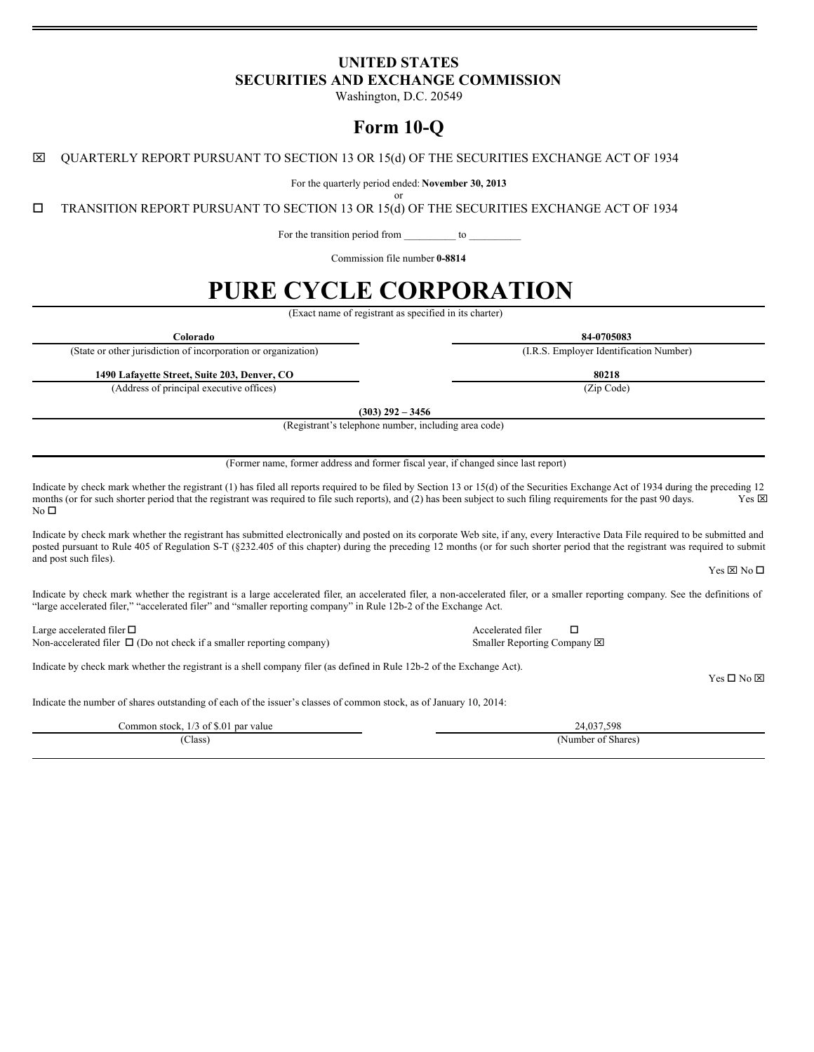## **UNITED STATES SECURITIES AND EXCHANGE COMMISSION**

Washington, D.C. 20549

## **Form 10-Q**

x QUARTERLY REPORT PURSUANT TO SECTION 13 OR 15(d) OF THE SECURITIES EXCHANGE ACT OF 1934

For the quarterly period ended: **November 30, 2013** or

o TRANSITION REPORT PURSUANT TO SECTION 13 OR 15(d) OF THE SECURITIES EXCHANGE ACT OF 1934

For the transition period from \_\_\_\_\_\_\_\_\_\_ to

Commission file number **0-8814**

# **PURE CYCLE CORPORATION**

(Exact name of registrant as specified in its charter)

**Colorado 84-0705083**

(State or other jurisdiction of incorporation or organization) (I.R.S. Employer Identification Number)

**1490 Lafayette Street, Suite 203, Denver, CO 80218**

(Address of principal executive offices) (Zip Code)

**(303) 292 – 3456**

(Registrant's telephone number, including area code)

(Former name, former address and former fiscal year, if changed since last report)

Indicate by check mark whether the registrant (1) has filed all reports required to be filed by Section 13 or 15(d) of the Securities Exchange Act of 1934 during the preceding 12 months (or for such shorter period that th months (or for such shorter period that the registrant was required to file such reports), and (2) has been subject to such filing requirements for the past 90 days.  $No<sub>D</sub>$ 

Indicate by check mark whether the registrant has submitted electronically and posted on its corporate Web site, if any, every Interactive Data File required to be submitted and posted pursuant to Rule 405 of Regulation S-T (§232.405 of this chapter) during the preceding 12 months (or for such shorter period that the registrant was required to submit and post such files).

 $Yes \boxtimes No \square$ 

Indicate by check mark whether the registrant is a large accelerated filer, an accelerated filer, a non-accelerated filer, or a smaller reporting company. See the definitions of "large accelerated filer," "accelerated filer" and "smaller reporting company" in Rule 12b-2 of the Exchange Act.

Large accelerated filer  $\Box$ <br>
Non-accelerated filer  $\Box$  (Do not check if a smaller reporting company) Smaller Reporting Company  $\boxtimes$ Non-accelerated filer  $\Box$  (Do not check if a smaller reporting company)

Indicate by check mark whether the registrant is a shell company filer (as defined in Rule 12b-2 of the Exchange Act).

 $Yes \Box No \boxtimes$ 

Indicate the number of shares outstanding of each of the issuer's classes of common stock, as of January 10, 2014:

| $\overline{1}$<br>1/3 of \$.01<br>∴ommon stock.<br>l par value<br>$\frac{1}{2}$ | 24.037.598         |
|---------------------------------------------------------------------------------|--------------------|
| $\sim$<br>Class)<br>- - - -                                                     | (Number of Shares) |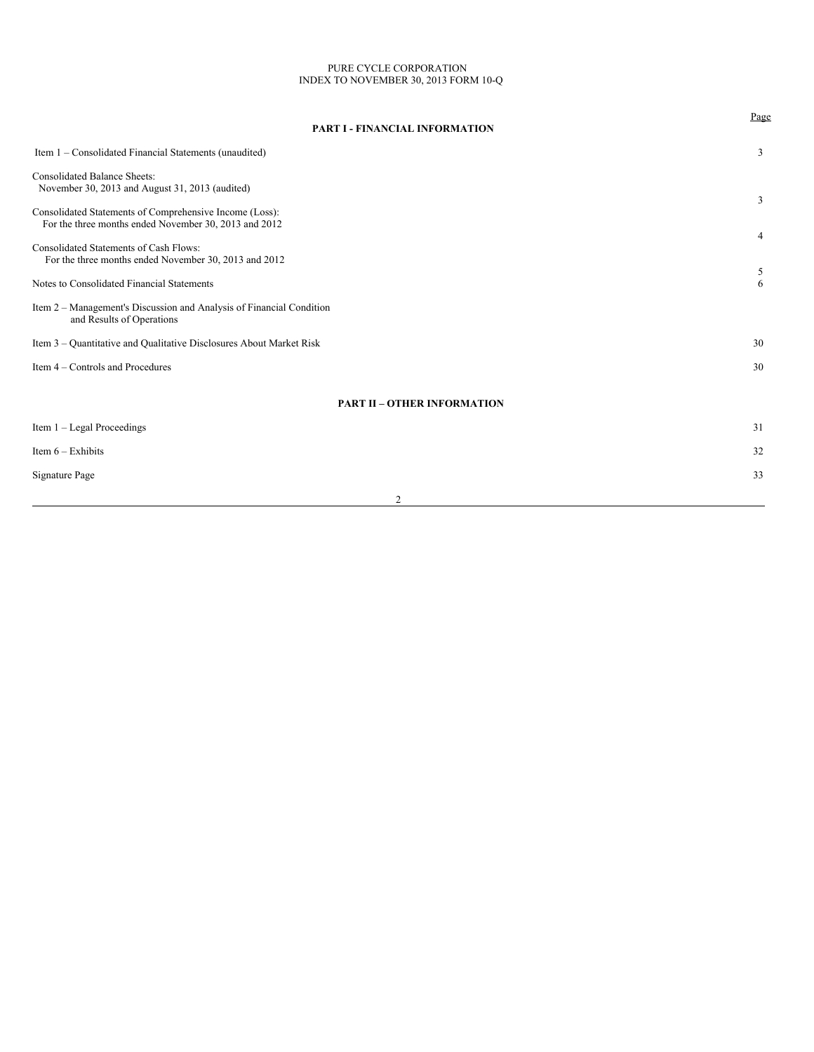#### PURE CYCLE CORPORATION INDEX TO NOVEMBER 30, 2013 FORM 10-Q

| <b>PART I - FINANCIAL INFORMATION</b>                                                                            | Page |
|------------------------------------------------------------------------------------------------------------------|------|
| Item 1 - Consolidated Financial Statements (unaudited)                                                           | 3    |
| <b>Consolidated Balance Sheets:</b><br>November 30, 2013 and August 31, 2013 (audited)                           | 3    |
| Consolidated Statements of Comprehensive Income (Loss):<br>For the three months ended November 30, 2013 and 2012 | 4    |
| Consolidated Statements of Cash Flows:<br>For the three months ended November 30, 2013 and 2012                  | 5    |
| Notes to Consolidated Financial Statements                                                                       | 6    |
| Item 2 – Management's Discussion and Analysis of Financial Condition<br>and Results of Operations                |      |
| Item 3 – Quantitative and Qualitative Disclosures About Market Risk                                              | 30   |
| Item 4 – Controls and Procedures                                                                                 | 30   |
| <b>PART II - OTHER INFORMATION</b>                                                                               |      |
| Item $1 -$ Legal Proceedings                                                                                     | 31   |
| Item $6 -$ Exhibits                                                                                              | 32   |
| <b>Signature Page</b>                                                                                            | 33   |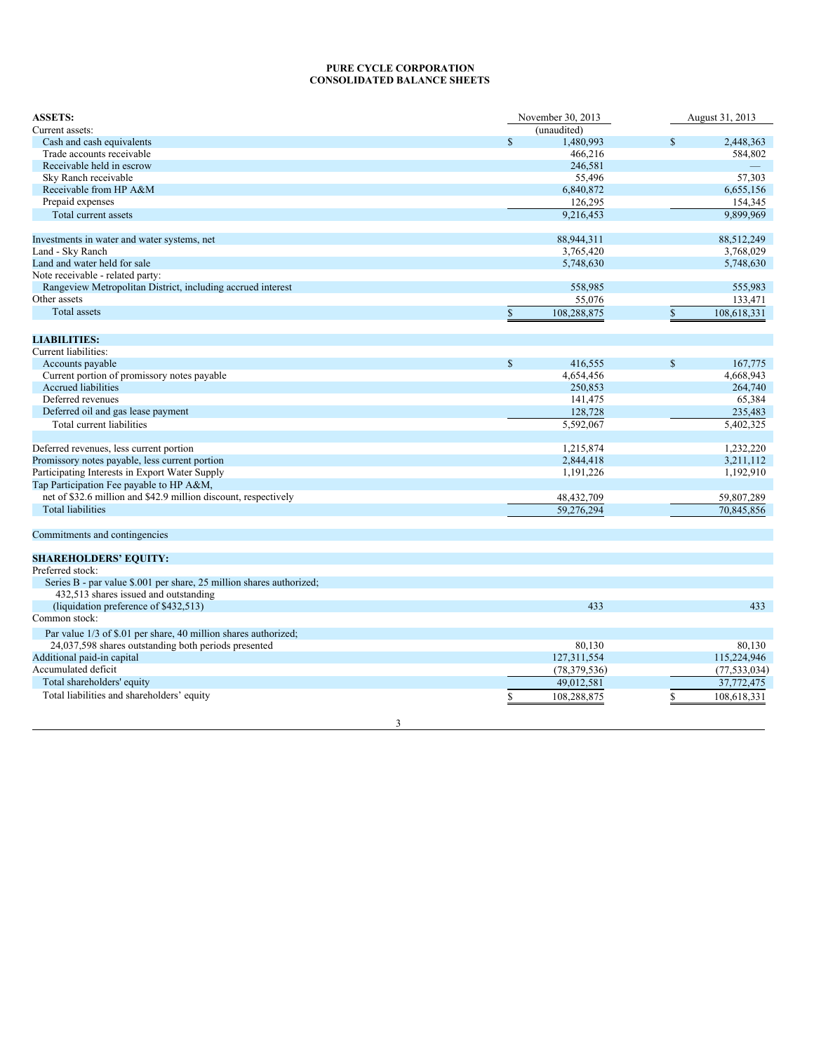## **PURE CYCLE CORPORATION CONSOLIDATED BALANCE SHEETS**

| <b>ASSETS:</b>                                                       | November 30, 2013            | August 31, 2013              |
|----------------------------------------------------------------------|------------------------------|------------------------------|
| Current assets:                                                      | (unaudited)                  |                              |
| Cash and cash equivalents                                            | $\$$<br>1,480,993            | 2,448,363<br>\$              |
| Trade accounts receivable                                            | 466,216                      | 584,802                      |
| Receivable held in escrow                                            | 246,581                      |                              |
| Sky Ranch receivable                                                 | 55,496                       | 57,303                       |
| Receivable from HP A&M                                               | 6,840,872                    | 6,655,156                    |
| Prepaid expenses                                                     | 126,295                      | 154,345                      |
| Total current assets                                                 | 9,216,453                    | 9.899.969                    |
|                                                                      |                              |                              |
| Investments in water and water systems, net                          | 88,944,311                   | 88,512,249                   |
| Land - Sky Ranch                                                     | 3,765,420                    | 3,768,029                    |
| Land and water held for sale                                         | 5,748,630                    | 5,748,630                    |
| Note receivable - related party:                                     |                              |                              |
| Rangeview Metropolitan District, including accrued interest          | 558,985                      | 555,983                      |
| Other assets                                                         | 55,076                       | 133,471                      |
| Total assets                                                         | $\mathsf{\$}$<br>108,288,875 | $\mathsf{\$}$<br>108,618,331 |
|                                                                      |                              |                              |
| <b>LIABILITIES:</b>                                                  |                              |                              |
| Current liabilities:                                                 |                              |                              |
| Accounts payable                                                     | $\mathbf S$<br>416,555       | $\mathbf S$<br>167,775       |
| Current portion of promissory notes payable                          | 4,654,456                    | 4,668,943                    |
| <b>Accrued liabilities</b>                                           | 250,853                      | 264,740                      |
| Deferred revenues                                                    | 141,475                      | 65,384                       |
| Deferred oil and gas lease payment                                   | 128,728                      | 235,483                      |
|                                                                      |                              |                              |
| Total current liabilities                                            | 5,592,067                    | 5,402,325                    |
| Deferred revenues, less current portion                              | 1,215,874                    | 1,232,220                    |
| Promissory notes payable, less current portion                       | 2,844,418                    | 3,211,112                    |
| Participating Interests in Export Water Supply                       | 1,191,226                    | 1,192,910                    |
| Tap Participation Fee payable to HP A&M,                             |                              |                              |
| net of \$32.6 million and \$42.9 million discount, respectively      | 48,432,709                   | 59,807,289                   |
| <b>Total liabilities</b>                                             | 59,276,294                   | 70,845,856                   |
|                                                                      |                              |                              |
| Commitments and contingencies                                        |                              |                              |
|                                                                      |                              |                              |
| <b>SHAREHOLDERS' EQUITY:</b>                                         |                              |                              |
| Preferred stock:                                                     |                              |                              |
| Series B - par value \$.001 per share, 25 million shares authorized; |                              |                              |
| 432,513 shares issued and outstanding                                |                              |                              |
| (liquidation preference of \$432,513)                                | 433                          | 433                          |
| Common stock:                                                        |                              |                              |
| Par value 1/3 of \$.01 per share, 40 million shares authorized;      |                              |                              |
| 24,037,598 shares outstanding both periods presented                 | 80,130                       | 80,130                       |
| Additional paid-in capital                                           | 127,311,554                  | 115,224,946                  |
| Accumulated deficit                                                  | (78, 379, 536)               | (77, 533, 034)               |
| Total shareholders' equity                                           | 49,012,581                   | 37,772,475                   |
| Total liabilities and shareholders' equity                           | \$<br>108,288,875            | \$<br>108,618,331            |
|                                                                      |                              |                              |
| 3                                                                    |                              |                              |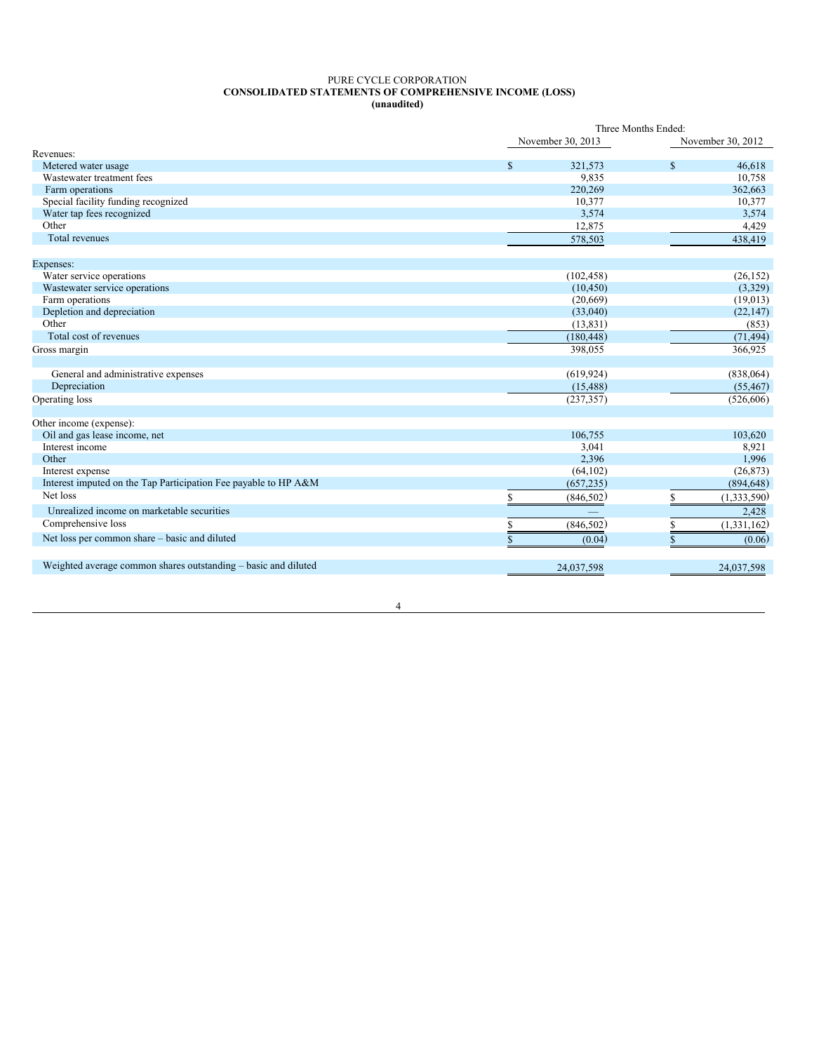#### PURE CYCLE CORPORATION **CONSOLIDATED STATEMENTS OF COMPREHENSIVE INCOME (LOSS) (unaudited)**

|                                                                 |              |                   | Three Months Ended: |                   |
|-----------------------------------------------------------------|--------------|-------------------|---------------------|-------------------|
|                                                                 |              | November 30, 2013 |                     | November 30, 2012 |
| Revenues:                                                       |              |                   |                     |                   |
| Metered water usage                                             | \$           | 321,573           | $\mathbf S$         | 46,618            |
| Wastewater treatment fees                                       |              | 9,835             |                     | 10,758            |
| Farm operations                                                 |              | 220,269           |                     | 362,663           |
| Special facility funding recognized                             |              | 10,377            |                     | 10,377            |
| Water tap fees recognized                                       |              | 3,574             |                     | 3,574             |
| Other                                                           |              | 12,875            |                     | 4,429             |
| <b>Total revenues</b>                                           |              | 578,503           |                     | 438,419           |
| Expenses:                                                       |              |                   |                     |                   |
| Water service operations                                        |              | (102, 458)        |                     | (26, 152)         |
| Wastewater service operations                                   |              | (10, 450)         |                     | (3,329)           |
| Farm operations                                                 |              | (20,669)          |                     | (19,013)          |
| Depletion and depreciation                                      |              | (33,040)          |                     | (22, 147)         |
| Other                                                           |              | (13, 831)         |                     | (853)             |
| Total cost of revenues                                          |              | (180, 448)        |                     | (71, 494)         |
| Gross margin                                                    |              | 398,055           |                     | 366,925           |
| General and administrative expenses                             |              | (619, 924)        |                     | (838,064)         |
| Depreciation                                                    |              | (15, 488)         |                     | (55, 467)         |
| Operating loss                                                  |              | (237, 357)        |                     | (526, 606)        |
| Other income (expense):                                         |              |                   |                     |                   |
| Oil and gas lease income, net                                   |              | 106,755           |                     | 103,620           |
| Interest income                                                 |              | 3,041             |                     | 8,921             |
| Other                                                           |              | 2,396             |                     | 1,996             |
| Interest expense                                                |              | (64, 102)         |                     | (26, 873)         |
| Interest imputed on the Tap Participation Fee payable to HP A&M |              | (657, 235)        |                     | (894, 648)        |
| Net loss                                                        | \$           | (846, 502)        | \$                  | (1,333,590)       |
| Unrealized income on marketable securities                      |              |                   |                     | 2,428             |
| Comprehensive loss                                              | \$           | (846, 502)        | \$                  | (1,331,162)       |
| Net loss per common share – basic and diluted                   | $\mathbb{S}$ | (0.04)            | \$                  | (0.06)            |
| Weighted average common shares outstanding – basic and diluted  |              | 24,037,598        |                     | 24,037,598        |
|                                                                 |              |                   |                     |                   |

4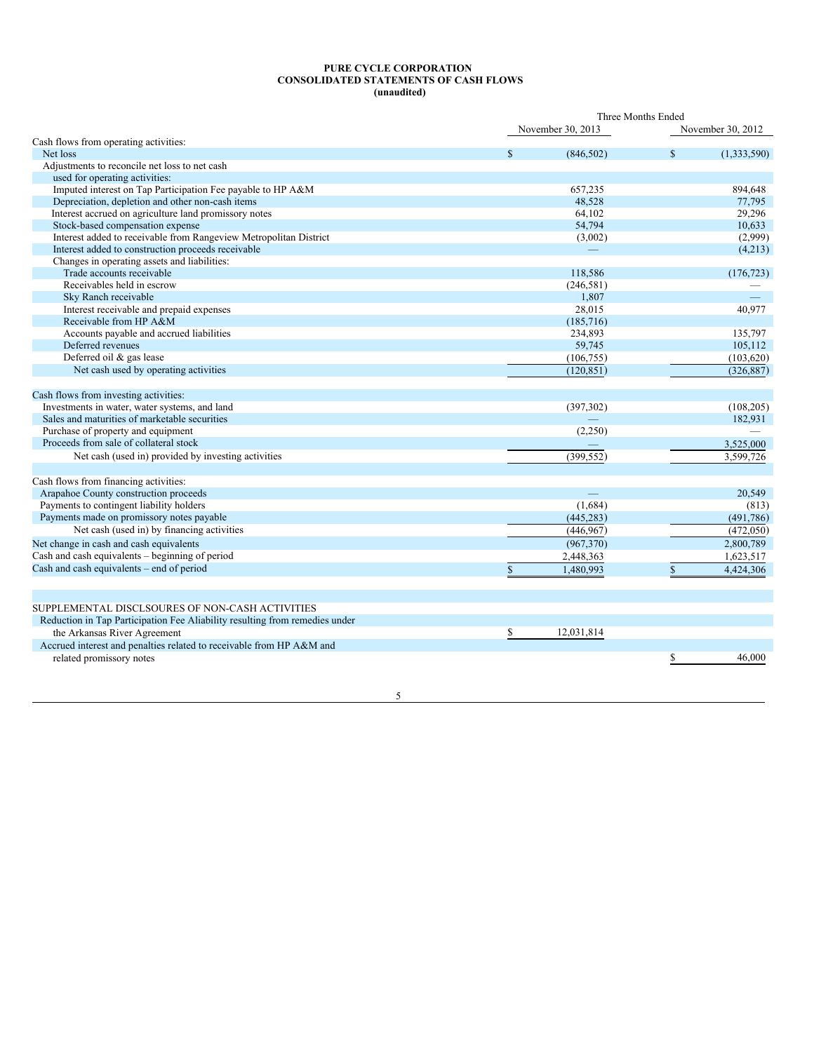#### **PURE CYCLE CORPORATION CONSOLIDATED STATEMENTS OF CASH FLOWS (unaudited)**

|                                                                             |              |                   | Three Months Ended |                   |
|-----------------------------------------------------------------------------|--------------|-------------------|--------------------|-------------------|
|                                                                             |              | November 30, 2013 |                    | November 30, 2012 |
| Cash flows from operating activities:                                       |              |                   |                    |                   |
| Net loss                                                                    | $\mathbb{S}$ | (846, 502)        | $\mathbb{S}$       | (1,333,590)       |
| Adjustments to reconcile net loss to net cash                               |              |                   |                    |                   |
| used for operating activities:                                              |              |                   |                    |                   |
| Imputed interest on Tap Participation Fee payable to HP A&M                 |              | 657,235           |                    | 894,648           |
| Depreciation, depletion and other non-cash items                            |              | 48,528            |                    | 77,795            |
| Interest accrued on agriculture land promissory notes                       |              | 64,102            |                    | 29,296            |
| Stock-based compensation expense                                            |              | 54,794            |                    | 10,633            |
| Interest added to receivable from Rangeview Metropolitan District           |              | (3,002)           |                    | (2,999)           |
| Interest added to construction proceeds receivable                          |              |                   |                    | (4,213)           |
| Changes in operating assets and liabilities:                                |              |                   |                    |                   |
| Trade accounts receivable                                                   |              | 118,586           |                    | (176, 723)        |
| Receivables held in escrow                                                  |              | (246, 581)        |                    |                   |
| Sky Ranch receivable                                                        |              | 1,807             |                    |                   |
| Interest receivable and prepaid expenses                                    |              | 28,015            |                    | 40,977            |
| Receivable from HP A&M                                                      |              | (185, 716)        |                    |                   |
| Accounts payable and accrued liabilities                                    |              | 234,893           |                    | 135,797           |
| Deferred revenues                                                           |              | 59,745            |                    | 105,112           |
| Deferred oil & gas lease                                                    |              | (106, 755)        |                    | (103, 620)        |
| Net cash used by operating activities                                       |              | (120, 851)        |                    | (326, 887)        |
| Cash flows from investing activities:                                       |              |                   |                    |                   |
| Investments in water, water systems, and land                               |              | (397, 302)        |                    | (108, 205)        |
| Sales and maturities of marketable securities                               |              |                   |                    | 182,931           |
| Purchase of property and equipment                                          |              | (2,250)           |                    |                   |
| Proceeds from sale of collateral stock                                      |              |                   |                    | 3,525,000         |
| Net cash (used in) provided by investing activities                         |              | (399, 552)        |                    | 3,599,726         |
| Cash flows from financing activities:                                       |              |                   |                    |                   |
| Arapahoe County construction proceeds                                       |              |                   |                    | 20,549            |
| Payments to contingent liability holders                                    |              | (1,684)           |                    | (813)             |
| Payments made on promissory notes payable                                   |              | (445, 283)        |                    | (491,786)         |
| Net cash (used in) by financing activities                                  |              | (446, 967)        |                    | (472,050)         |
| Net change in cash and cash equivalents                                     |              | (967,370)         |                    | 2,800,789         |
| Cash and cash equivalents - beginning of period                             |              | 2,448,363         |                    | 1,623,517         |
| Cash and cash equivalents – end of period                                   | $\mathbb{S}$ | 1,480,993         | \$                 | 4,424,306         |
|                                                                             |              |                   |                    |                   |
| SUPPLEMENTAL DISCLSOURES OF NON-CASH ACTIVITIES                             |              |                   |                    |                   |
| Reduction in Tap Participation Fee Aliability resulting from remedies under |              |                   |                    |                   |
|                                                                             |              | 12,031,814        |                    |                   |
| the Arkansas River Agreement                                                | \$           |                   |                    |                   |
| Accrued interest and penalties related to receivable from HP A&M and        |              |                   |                    |                   |
| related promissory notes                                                    |              |                   | \$                 | 46,000            |

5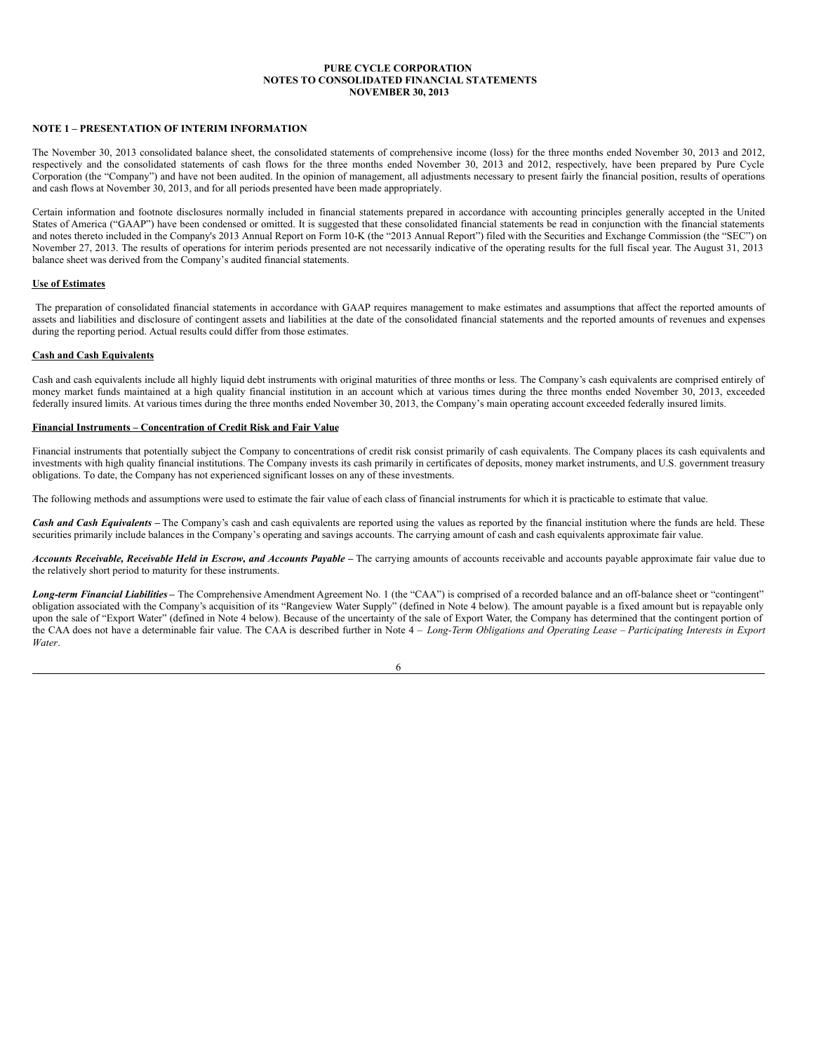## **NOTE 1 – PRESENTATION OF INTERIM INFORMATION**

The November 30, 2013 consolidated balance sheet, the consolidated statements of comprehensive income (loss) for the three months ended November 30, 2013 and 2012, respectively and the consolidated statements of cash flows for the three months ended November 30, 2013 and 2012, respectively, have been prepared by Pure Cycle Corporation (the "Company") and have not been audited. In the opinion of management, all adjustments necessary to present fairly the financial position, results of operations and cash flows at November 30, 2013, and for all periods presented have been made appropriately.

Certain information and footnote disclosures normally included in financial statements prepared in accordance with accounting principles generally accepted in the United States of America ("GAAP") have been condensed or omitted. It is suggested that these consolidated financial statements be read in conjunction with the financial statements and notes thereto included in the Company's 2013 Annual Report on Form 10-K (the "2013 Annual Report") filed with the Securities and Exchange Commission (the "SEC") on November 27, 2013. The results of operations for interim periods presented are not necessarily indicative of the operating results for the full fiscal year. The August 31, 2013 balance sheet was derived from the Company's audited financial statements.

#### **Use of Estimates**

The preparation of consolidated financial statements in accordance with GAAP requires management to make estimates and assumptions that affect the reported amounts of assets and liabilities and disclosure of contingent assets and liabilities at the date of the consolidated financial statements and the reported amounts of revenues and expenses during the reporting period. Actual results could differ from those estimates.

#### **Cash and Cash Equivalents**

Cash and cash equivalents include all highly liquid debt instruments with original maturities of three months or less. The Company's cash equivalents are comprised entirely of money market funds maintained at a high quality financial institution in an account which at various times during the three months ended November 30, 2013, exceeded federally insured limits. At various times during the three months ended November 30, 2013, the Company's main operating account exceeded federally insured limits.

#### **Financial Instruments – Concentration of Credit Risk and Fair Value**

Financial instruments that potentially subject the Company to concentrations of credit risk consist primarily of cash equivalents. The Company places its cash equivalents and investments with high quality financial institutions. The Company invests its cash primarily in certificates of deposits, money market instruments, and U.S. government treasury obligations. To date, the Company has not experienced significant losses on any of these investments.

The following methods and assumptions were used to estimate the fair value of each class of financial instruments for which it is practicable to estimate that value.

*Cash and Cash Equivalents* – The Company's cash and cash equivalents are reported using the values as reported by the financial institution where the funds are held. These securities primarily include balances in the Company's operating and savings accounts. The carrying amount of cash and cash equivalents approximate fair value.

Accounts Receivable, Receivable Held in Escrow, and Accounts Payable – The carrying amounts of accounts receivable and accounts payable approximate fair value due to the relatively short period to maturity for these instruments.

**Long-term Financial Liabilities** – The Comprehensive Amendment Agreement No. 1 (the "CAA") is comprised of a recorded balance and an off-balance sheet or "contingent" obligation associated with the Company's acquisition of its "Rangeview Water Supply" (defined in Note 4 below). The amount payable is a fixed amount but is repayable only upon the sale of "Export Water" (defined in Note 4 below). Because of the uncertainty of the sale of Export Water, the Company has determined that the contingent portion of the CAA does not have a determinable fair value. The CAA is described further in Note 4 - Long-Term Obligations and Operating Lease - Participating Interests in Export *Water*.

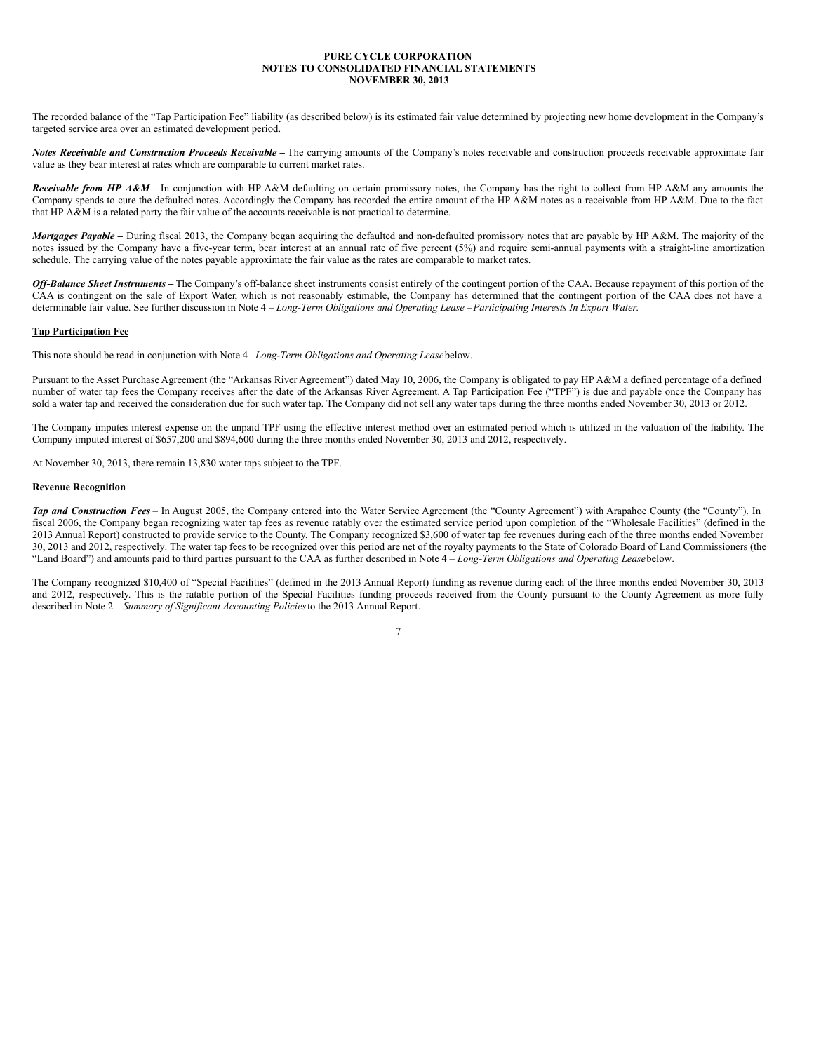The recorded balance of the "Tap Participation Fee" liability (as described below) is its estimated fair value determined by projecting new home development in the Company's targeted service area over an estimated development period.

*Notes Receivable and Construction Proceeds Receivable* **–** The carrying amounts of the Company's notes receivable and construction proceeds receivable approximate fair value as they bear interest at rates which are comparable to current market rates.

*Receivable from HP A&M –* In conjunction with HP A&M defaulting on certain promissory notes, the Company has the right to collect from HP A&M any amounts the Company spends to cure the defaulted notes. Accordingly the Company has recorded the entire amount of the HP A&M notes as a receivable from HP A&M. Due to the fact that HP A&M is a related party the fair value of the accounts receivable is not practical to determine.

*Mortgages Payable* – During fiscal 2013, the Company began acquiring the defaulted and non-defaulted promissory notes that are payable by HP A&M. The majority of the notes issued by the Company have a five-year term, bear interest at an annual rate of five percent (5%) and require semi-annual payments with a straight-line amortization schedule. The carrying value of the notes payable approximate the fair value as the rates are comparable to market rates.

*Off-Balance Sheet Instruments* – The Company's off-balance sheet instruments consist entirely of the contingent portion of the CAA. Because repayment of this portion of the CAA is contingent on the sale of Export Water, which is not reasonably estimable, the Company has determined that the contingent portion of the CAA does not have a determinable fair value. See further discussion in Note 4 – *Long-Term Obligations and Operating Lease –Participating Interests In Export Water*.

## **Tap Participation Fee**

This note should be read in conjunction with Note 4 –*Long-Term Obligations and Operating Lease*below.

Pursuant to the Asset Purchase Agreement (the "Arkansas River Agreement") dated May 10, 2006, the Company is obligated to pay HP A&M a defined percentage of a defined number of water tap fees the Company receives after the date of the Arkansas River Agreement. A Tap Participation Fee ("TPF") is due and payable once the Company has sold a water tap and received the consideration due for such water tap. The Company did not sell any water taps during the three months ended November 30, 2013 or 2012.

The Company imputes interest expense on the unpaid TPF using the effective interest method over an estimated period which is utilized in the valuation of the liability. The Company imputed interest of \$657,200 and \$894,600 during the three months ended November 30, 2013 and 2012, respectively.

At November 30, 2013, there remain 13,830 water taps subject to the TPF.

#### **Revenue Recognition**

*Tap and Construction Fees* – In August 2005, the Company entered into the Water Service Agreement (the "County Agreement") with Arapahoe County (the "County"). In fiscal 2006, the Company began recognizing water tap fees as revenue ratably over the estimated service period upon completion of the "Wholesale Facilities" (defined in the 2013 Annual Report) constructed to provide service to the County. The Company recognized \$3,600 of water tap fee revenues during each of the three months ended November 30, 2013 and 2012, respectively. The water tap fees to be recognized over this period are net of the royalty payments to the State of Colorado Board of Land Commissioners (the "Land Board") and amounts paid to third parties pursuant to the CAA as further described in Note 4 – *Long-Term Obligations and Operating Lease*below.

The Company recognized \$10,400 of "Special Facilities" (defined in the 2013 Annual Report) funding as revenue during each of the three months ended November 30, 2013 and 2012, respectively. This is the ratable portion of the Special Facilities funding proceeds received from the County pursuant to the County Agreement as more fully described in Note 2 – *Summary of Significant Accounting Policies*to the 2013 Annual Report.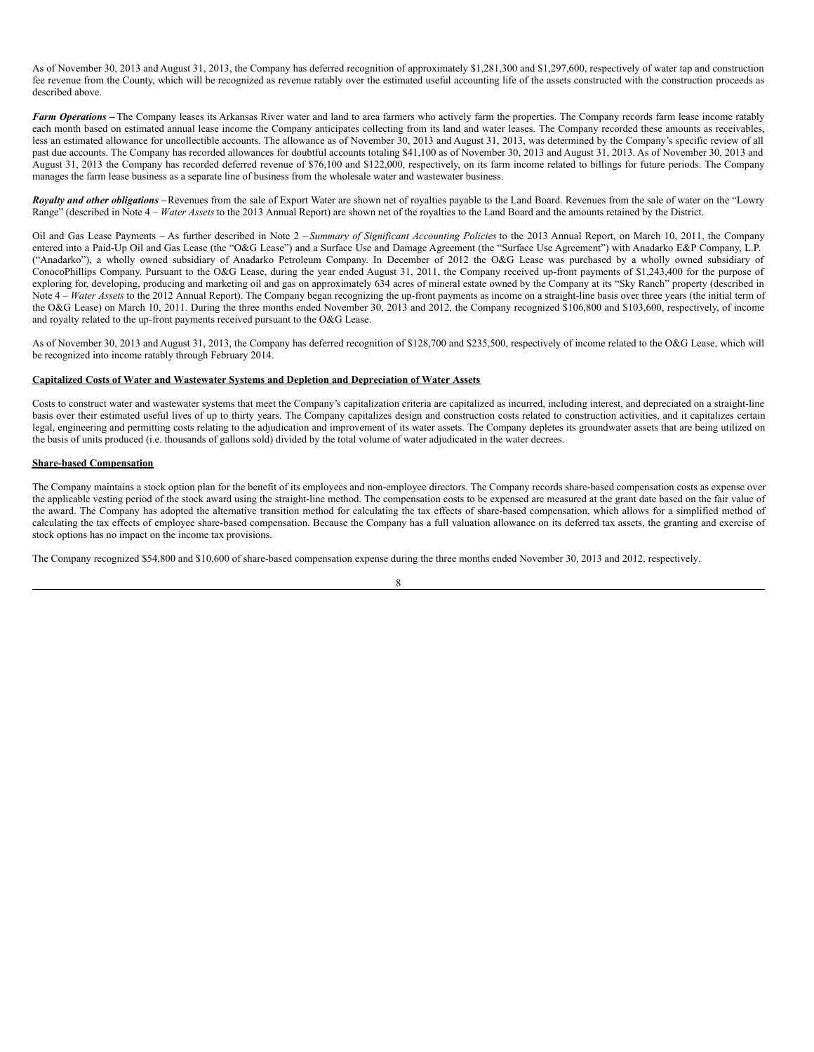As of November 30, 2013 and August 31, 2013, the Company has deferred recognition of approximately \$1,281,300 and \$1,297,600, respectively of water tap and construction fee revenue from the County, which will be recognized as revenue ratably over the estimated useful accounting life of the assets constructed with the construction proceeds as described above.

*Farm Operations* – The Company leases its Arkansas River water and land to area farmers who actively farm the properties. The Company records farm lease income ratably each month based on estimated annual lease income the Company anticipates collecting from its land and water leases. The Company recorded these amounts as receivables, less an estimated allowance for uncollectible accounts. The allowance as of November 30, 2013 and August 31, 2013, was determined by the Company's specific review of all past due accounts. The Company has recorded allowances for doubtful accounts totaling \$41,100 as of November 30, 2013 and August 31, 2013. As of November 30, 2013 and August 31, 2013 the Company has recorded deferred revenue of \$76,100 and \$122,000, respectively, on its farm income related to billings for future periods. The Company manages the farm lease business as a separate line of business from the wholesale water and wastewater business.

*Royalty and other obligations* – Revenues from the sale of Export Water are shown net of royalties payable to the Land Board. Revenues from the sale of water on the "Lowry" Range" (described in Note 4 – *Water Assets* to the 2013 Annual Report) are shown net of the royalties to the Land Board and the amounts retained by the District.

Oil and Gas Lease Payments – As further described in Note 2 – *Summary of Significant Accounting Policies* to the 2013 Annual Report, on March 10, 2011, the Company entered into a Paid-Up Oil and Gas Lease (the "O&G Lease") and a Surface Use and Damage Agreement (the "Surface Use Agreement") with Anadarko E&P Company, L.P. ("Anadarko"), a wholly owned subsidiary of Anadarko Petroleum Company. In December of 2012 the O&G Lease was purchased by a wholly owned subsidiary of ConocoPhillips Company. Pursuant to the O&G Lease, during the year ended August 31, 2011, the Company received up-front payments of \$1,243,400 for the purpose of exploring for, developing, producing and marketing oil and gas on approximately 634 acres of mineral estate owned by the Company at its "Sky Ranch" property (described in Note 4 – *Water Assets* to the 2012 Annual Report). The Company began recognizing the up-front payments as income on a straight-line basis over three years (the initial term of the O&G Lease) on March 10, 2011. During the three months ended November 30, 2013 and 2012, the Company recognized \$106,800 and \$103,600, respectively, of income and royalty related to the up-front payments received pursuant to the O&G Lease.

As of November 30, 2013 and August 31, 2013, the Company has deferred recognition of \$128,700 and \$235,500, respectively of income related to the O&G Lease, which will be recognized into income ratably through February 2014.

## **Capitalized Costs of Water and Wastewater Systems and Depletion and Depreciation of Water Assets**

Costs to construct water and wastewater systems that meet the Company's capitalization criteria are capitalized as incurred, including interest, and depreciated on a straight-line basis over their estimated useful lives of up to thirty years. The Company capitalizes design and construction costs related to construction activities, and it capitalizes certain legal, engineering and permitting costs relating to the adjudication and improvement of its water assets. The Company depletes its groundwater assets that are being utilized on the basis of units produced (i.e. thousands of gallons sold) divided by the total volume of water adjudicated in the water decrees.

#### **Share-based Compensation**

The Company maintains a stock option plan for the benefit of its employees and non-employee directors. The Company records share-based compensation costs as expense over the applicable vesting period of the stock award using the straight-line method. The compensation costs to be expensed are measured at the grant date based on the fair value of the award. The Company has adopted the alternative transition method for calculating the tax effects of share-based compensation, which allows for a simplified method of calculating the tax effects of employee share-based compensation. Because the Company has a full valuation allowance on its deferred tax assets, the granting and exercise of stock options has no impact on the income tax provisions.

The Company recognized \$54,800 and \$10,600 of share-based compensation expense during the three months ended November 30, 2013 and 2012, respectively.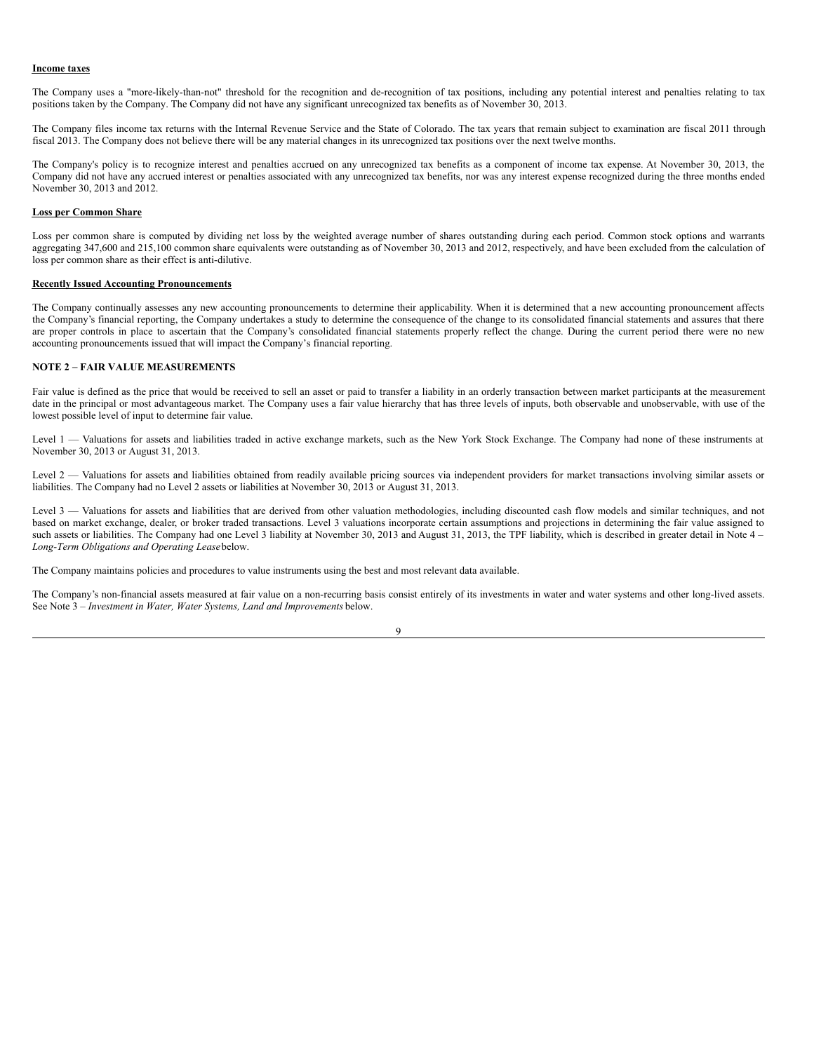#### **Income taxes**

The Company uses a "more-likely-than-not" threshold for the recognition and de-recognition of tax positions, including any potential interest and penalties relating to tax positions taken by the Company. The Company did not have any significant unrecognized tax benefits as of November 30, 2013.

The Company files income tax returns with the Internal Revenue Service and the State of Colorado. The tax years that remain subject to examination are fiscal 2011 through fiscal 2013. The Company does not believe there will be any material changes in its unrecognized tax positions over the next twelve months.

The Company's policy is to recognize interest and penalties accrued on any unrecognized tax benefits as a component of income tax expense. At November 30, 2013, the Company did not have any accrued interest or penalties associated with any unrecognized tax benefits, nor was any interest expense recognized during the three months ended November 30, 2013 and 2012.

#### **Loss per Common Share**

Loss per common share is computed by dividing net loss by the weighted average number of shares outstanding during each period. Common stock options and warrants aggregating 347,600 and 215,100 common share equivalents were outstanding as of November 30, 2013 and 2012, respectively, and have been excluded from the calculation of loss per common share as their effect is anti-dilutive.

## **Recently Issued Accounting Pronouncements**

The Company continually assesses any new accounting pronouncements to determine their applicability. When it is determined that a new accounting pronouncement affects the Company's financial reporting, the Company undertakes a study to determine the consequence of the change to its consolidated financial statements and assures that there are proper controls in place to ascertain that the Company's consolidated financial statements properly reflect the change. During the current period there were no new accounting pronouncements issued that will impact the Company's financial reporting.

#### **NOTE 2** *–* **FAIR VALUE MEASUREMENTS**

Fair value is defined as the price that would be received to sell an asset or paid to transfer a liability in an orderly transaction between market participants at the measurement date in the principal or most advantageous market. The Company uses a fair value hierarchy that has three levels of inputs, both observable and unobservable, with use of the lowest possible level of input to determine fair value.

Level 1 — Valuations for assets and liabilities traded in active exchange markets, such as the New York Stock Exchange. The Company had none of these instruments at November 30, 2013 or August 31, 2013.

Level 2 — Valuations for assets and liabilities obtained from readily available pricing sources via independent providers for market transactions involving similar assets or liabilities. The Company had no Level 2 assets or liabilities at November 30, 2013 or August 31, 2013.

Level 3 — Valuations for assets and liabilities that are derived from other valuation methodologies, including discounted cash flow models and similar techniques, and not based on market exchange, dealer, or broker traded transactions. Level 3 valuations incorporate certain assumptions and projections in determining the fair value assigned to such assets or liabilities. The Company had one Level 3 liability at November 30, 2013 and August 31, 2013, the TPF liability, which is described in greater detail in Note 4 – *Long-Term Obligations and Operating Lease*below.

The Company maintains policies and procedures to value instruments using the best and most relevant data available.

The Company's non-financial assets measured at fair value on a non-recurring basis consist entirely of its investments in water and water systems and other long-lived assets. See Note 3 – *Investment in Water, Water Systems, Land and Improvements* below.

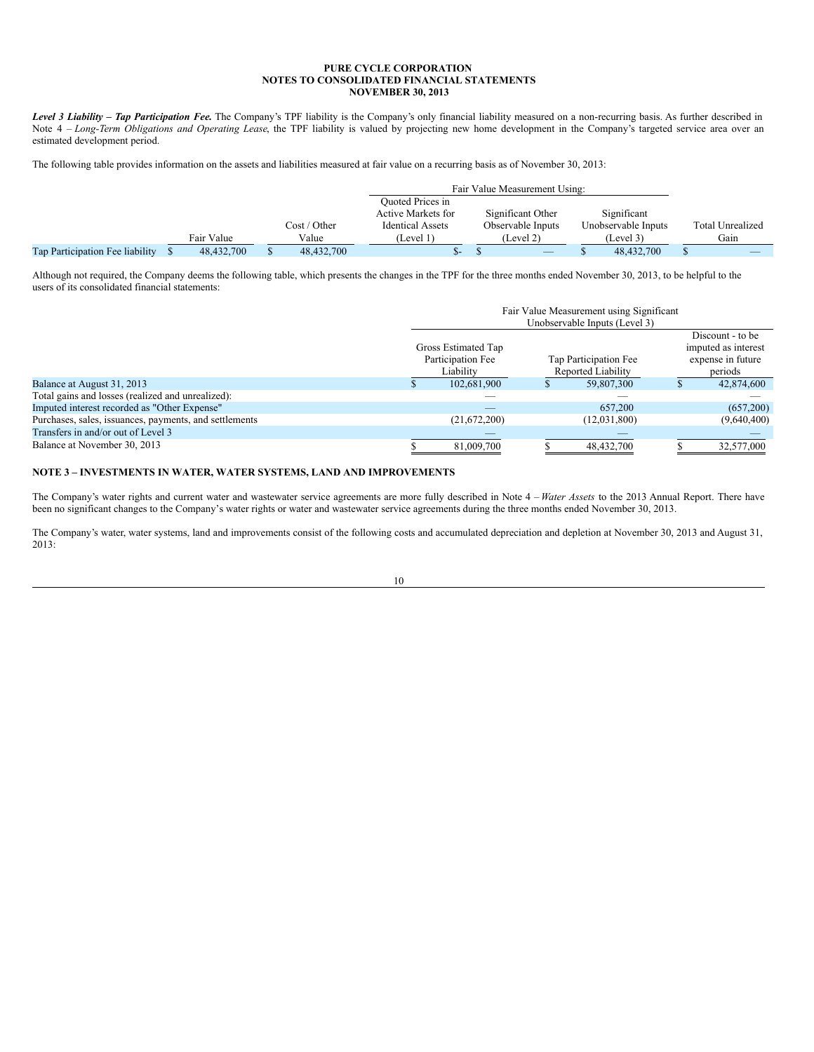*Level* 3 *Liability – Tap Participation Fee*. The Company's TPF liability is the Company's only financial liability measured on a non-recurring basis. As further described in Note 4 – *Long-Term Obligations and Operating Lease*, the TPF liability is valued by projecting new home development in the Company's targeted service area over an estimated development period.

The following table provides information on the assets and liabilities measured at fair value on a recurring basis as of November 30, 2013:

|                                 |            |              | <b>Ouoted Prices in</b> |                                 |                     |                         |
|---------------------------------|------------|--------------|-------------------------|---------------------------------|---------------------|-------------------------|
|                                 |            |              | Active Markets for      | Significant Other               | Significant         |                         |
|                                 |            | Cost / Other | <b>Identical Assets</b> | Observable Inputs               | Unobservable Inputs | <b>Total Unrealized</b> |
|                                 | Fair Value | Value        | (Level 1)               | (Level 2)                       | (Level 3)           | Gain                    |
| Tap Participation Fee liability | 48,432,700 | 48,432,700   | $\Delta$                | $\hspace{0.1mm}-\hspace{0.1mm}$ | 48,432,700          |                         |

Although not required, the Company deems the following table, which presents the changes in the TPF for the three months ended November 30, 2013, to be helpful to the users of its consolidated financial statements:

|                                                        | Fair Value Measurement using Significant |                                                       |  |                                             |  |                                                                         |  |  |  |  |
|--------------------------------------------------------|------------------------------------------|-------------------------------------------------------|--|---------------------------------------------|--|-------------------------------------------------------------------------|--|--|--|--|
|                                                        | Unobservable Inputs (Level 3)            |                                                       |  |                                             |  |                                                                         |  |  |  |  |
|                                                        |                                          | Gross Estimated Tap<br>Participation Fee<br>Liability |  | Tap Participation Fee<br>Reported Liability |  | Discount - to be<br>imputed as interest<br>expense in future<br>periods |  |  |  |  |
| Balance at August 31, 2013                             |                                          | 102,681,900                                           |  | 59,807,300                                  |  | 42,874,600                                                              |  |  |  |  |
| Total gains and losses (realized and unrealized):      |                                          |                                                       |  |                                             |  |                                                                         |  |  |  |  |
| Imputed interest recorded as "Other Expense"           |                                          |                                                       |  | 657,200                                     |  | (657,200)                                                               |  |  |  |  |
| Purchases, sales, issuances, payments, and settlements |                                          | (21,672,200)                                          |  | (12,031,800)                                |  | (9,640,400)                                                             |  |  |  |  |
| Transfers in and/or out of Level 3                     |                                          |                                                       |  |                                             |  |                                                                         |  |  |  |  |
| Balance at November 30, 2013                           |                                          | 81,009,700                                            |  | 48,432,700                                  |  | 32,577,000                                                              |  |  |  |  |

#### **NOTE 3 – INVESTMENTS IN WATER, WATER SYSTEMS, LAND AND IMPROVEMENTS**

The Company's water rights and current water and wastewater service agreements are more fully described in Note 4 – *Water Assets* to the 2013 Annual Report. There have been no significant changes to the Company's water rights or water and wastewater service agreements during the three months ended November 30, 2013.

The Company's water, water systems, land and improvements consist of the following costs and accumulated depreciation and depletion at November 30, 2013 and August 31, 2013:

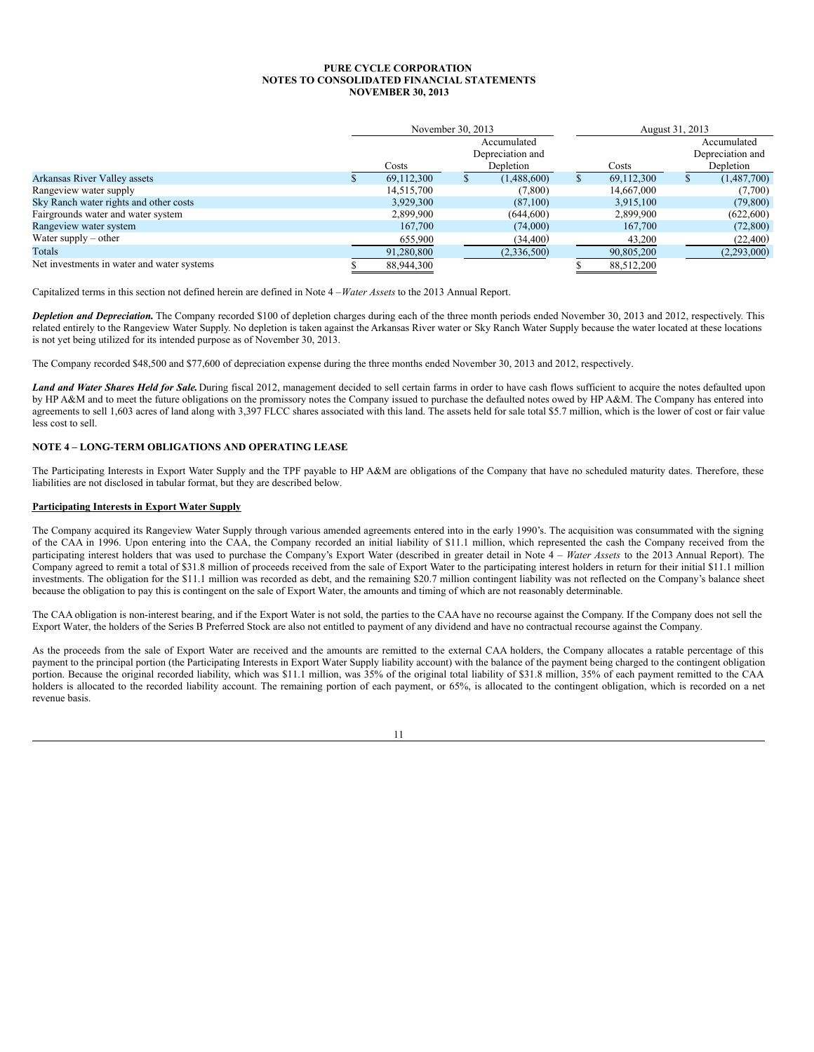|                                            |            | November 30, 2013 |                                 |            | August 31, 2013                 |  |  |
|--------------------------------------------|------------|-------------------|---------------------------------|------------|---------------------------------|--|--|
|                                            |            |                   | Accumulated<br>Depreciation and |            | Accumulated<br>Depreciation and |  |  |
|                                            | Costs      |                   | Depletion                       | Costs      | Depletion                       |  |  |
| Arkansas River Valley assets               | 69,112,300 |                   | (1,488,600)                     | 69,112,300 | (1,487,700)                     |  |  |
| Rangeview water supply                     | 14,515,700 |                   | (7,800)                         | 14,667,000 | (7,700)                         |  |  |
| Sky Ranch water rights and other costs     | 3,929,300  |                   | (87,100)                        | 3.915.100  | (79, 800)                       |  |  |
| Fairgrounds water and water system         | 2,899,900  |                   | (644, 600)                      | 2,899,900  | (622,600)                       |  |  |
| Rangeview water system                     | 167,700    |                   | (74,000)                        | 167,700    | (72, 800)                       |  |  |
| Water supply $-$ other                     | 655,900    |                   | (34, 400)                       | 43,200     | (22, 400)                       |  |  |
| Totals                                     | 91,280,800 |                   | (2,336,500)                     | 90,805,200 | (2,293,000)                     |  |  |
| Net investments in water and water systems | 88,944,300 |                   |                                 | 88.512.200 |                                 |  |  |

Capitalized terms in this section not defined herein are defined in Note 4 –*Water Assets* to the 2013 Annual Report.

*Depletion and Depreciation.* The Company recorded \$100 of depletion charges during each of the three month periods ended November 30, 2013 and 2012, respectively. This related entirely to the Rangeview Water Supply. No depletion is taken against the Arkansas River water or Sky Ranch Water Supply because the water located at these locations is not yet being utilized for its intended purpose as of November 30, 2013.

The Company recorded \$48,500 and \$77,600 of depreciation expense during the three months ended November 30, 2013 and 2012, respectively.

*Land and Water Shares Held for Sale.*During fiscal 2012, management decided to sell certain farms in order to have cash flows sufficient to acquire the notes defaulted upon by HP A&M and to meet the future obligations on the promissory notes the Company issued to purchase the defaulted notes owed by HP A&M. The Company has entered into agreements to sell 1,603 acres of land along with 3,397 FLCC shares associated with this land. The assets held for sale total \$5.7 million, which is the lower of cost or fair value less cost to sell.

## **NOTE 4 – LONG-TERM OBLIGATIONS AND OPERATING LEASE**

The Participating Interests in Export Water Supply and the TPF payable to HP A&M are obligations of the Company that have no scheduled maturity dates. Therefore, these liabilities are not disclosed in tabular format, but they are described below.

## **Participating Interests in Export Water Supply**

The Company acquired its Rangeview Water Supply through various amended agreements entered into in the early 1990's. The acquisition was consummated with the signing of the CAA in 1996. Upon entering into the CAA, the Company recorded an initial liability of \$11.1 million, which represented the cash the Company received from the participating interest holders that was used to purchase the Company's Export Water (described in greater detail in Note 4 – *Water Assets* to the 2013 Annual Report). The Company agreed to remit a total of \$31.8 million of proceeds received from the sale of Export Water to the participating interest holders in return for their initial \$11.1 million investments. The obligation for the \$11.1 million was recorded as debt, and the remaining \$20.7 million contingent liability was not reflected on the Company's balance sheet because the obligation to pay this is contingent on the sale of Export Water, the amounts and timing of which are not reasonably determinable.

The CAA obligation is non-interest bearing, and if the Export Water is not sold, the parties to the CAA have no recourse against the Company. If the Company does not sell the Export Water, the holders of the Series B Preferred Stock are also not entitled to payment of any dividend and have no contractual recourse against the Company.

As the proceeds from the sale of Export Water are received and the amounts are remitted to the external CAA holders, the Company allocates a ratable percentage of this payment to the principal portion (the Participating Interests in Export Water Supply liability account) with the balance of the payment being charged to the contingent obligation portion. Because the original recorded liability, which was \$11.1 million, was 35% of the original total liability of \$31.8 million, 35% of each payment remitted to the CAA holders is allocated to the recorded liability account. The remaining portion of each payment, or 65%, is allocated to the contingent obligation, which is recorded on a net revenue basis.

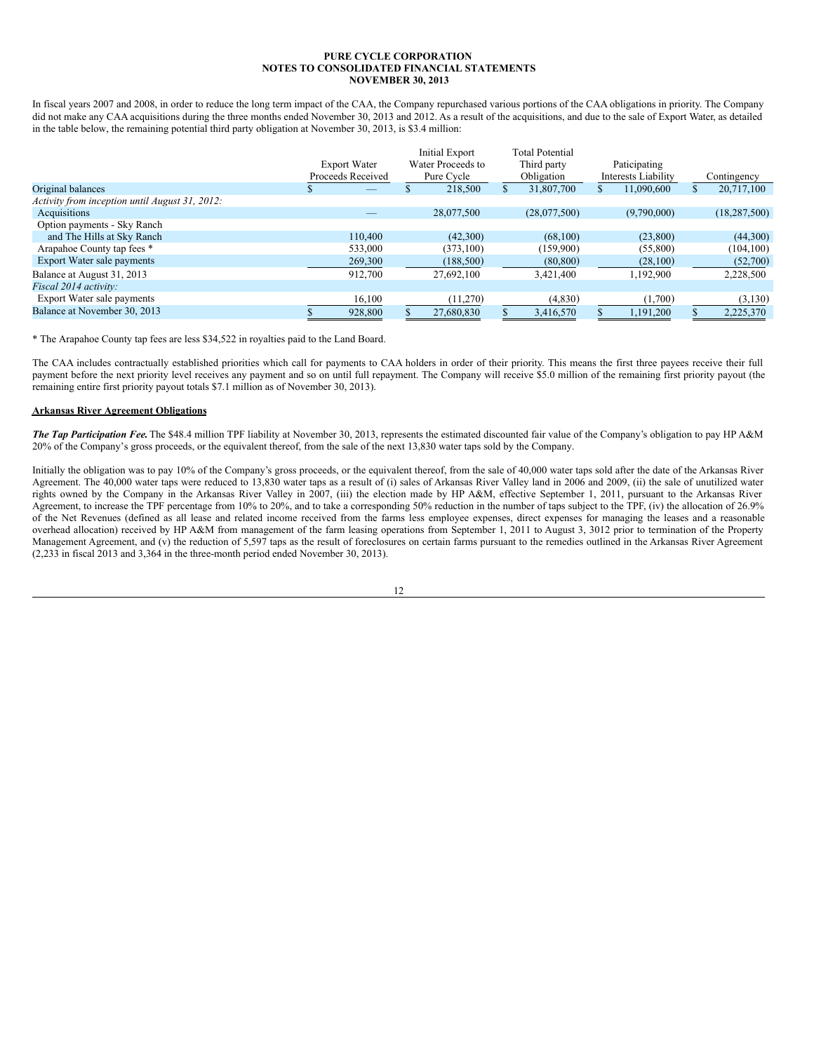In fiscal years 2007 and 2008, in order to reduce the long term impact of the CAA, the Company repurchased various portions of the CAA obligations in priority. The Company did not make any CAA acquisitions during the three months ended November 30, 2013 and 2012. As a result of the acquisitions, and due to the sale of Export Water, as detailed in the table below, the remaining potential third party obligation at November 30, 2013, is \$3.4 million:

|         |                                          |            |                                            | Third party  |                        |             |                                     |                |
|---------|------------------------------------------|------------|--------------------------------------------|--------------|------------------------|-------------|-------------------------------------|----------------|
|         |                                          | Pure Cycle |                                            | Obligation   |                        |             |                                     | Contingency    |
|         |                                          | 218,500    |                                            | 31,807,700   |                        | 11.090.600  |                                     | 20,717,100     |
|         |                                          |            |                                            |              |                        |             |                                     |                |
|         |                                          | 28,077,500 |                                            | (28,077,500) |                        | (9,790,000) |                                     | (18, 287, 500) |
|         |                                          |            |                                            |              |                        |             |                                     |                |
| 110,400 |                                          | (42,300)   |                                            | (68,100)     |                        | (23,800)    |                                     | (44,300)       |
| 533,000 |                                          | (373, 100) |                                            | (159,900)    |                        | (55,800)    |                                     | (104, 100)     |
| 269,300 |                                          | (188, 500) |                                            | (80, 800)    |                        | (28,100)    |                                     | (52,700)       |
| 912,700 |                                          | 27.692.100 |                                            | 3.421.400    |                        | 1,192,900   |                                     | 2,228,500      |
|         |                                          |            |                                            |              |                        |             |                                     |                |
| 16,100  |                                          | (11,270)   |                                            | (4,830)      |                        | (1,700)     |                                     | (3,130)        |
| 928,800 |                                          | 27,680,830 |                                            | 3,416,570    |                        | 1,191,200   |                                     | 2,225,370      |
|         | <b>Export Water</b><br>Proceeds Received |            | <b>Initial Export</b><br>Water Proceeds to |              | <b>Total Potential</b> |             | Paticipating<br>Interests Liability |                |

\* The Arapahoe County tap fees are less \$34,522 in royalties paid to the Land Board.

The CAA includes contractually established priorities which call for payments to CAA holders in order of their priority. This means the first three payees receive their full payment before the next priority level receives any payment and so on until full repayment. The Company will receive \$5.0 million of the remaining first priority payout (the remaining entire first priority payout totals \$7.1 million as of November 30, 2013).

## **Arkansas River Agreement Obligations**

*The Tap Participation Fee.*The \$48.4 million TPF liability at November 30, 2013, represents the estimated discounted fair value of the Company's obligation to pay HP A&M 20% of the Company's gross proceeds, or the equivalent thereof, from the sale of the next 13,830 water taps sold by the Company.

Initially the obligation was to pay 10% of the Company's gross proceeds, or the equivalent thereof, from the sale of 40,000 water taps sold after the date of the Arkansas River Agreement. The 40,000 water taps were reduced to 13,830 water taps as a result of (i) sales of Arkansas River Valley land in 2006 and 2009, (ii) the sale of unutilized water rights owned by the Company in the Arkansas River Valley in 2007, (iii) the election made by HP A&M, effective September 1, 2011, pursuant to the Arkansas River Agreement, to increase the TPF percentage from 10% to 20%, and to take a corresponding 50% reduction in the number of taps subject to the TPF, (iv) the allocation of 26.9% of the Net Revenues (defined as all lease and related income received from the farms less employee expenses, direct expenses for managing the leases and a reasonable overhead allocation) received by HP A&M from management of the farm leasing operations from September 1, 2011 to August 3, 3012 prior to termination of the Property Management Agreement, and (v) the reduction of 5,597 taps as the result of foreclosures on certain farms pursuant to the remedies outlined in the Arkansas River Agreement (2,233 in fiscal 2013 and 3,364 in the three-month period ended November 30, 2013).

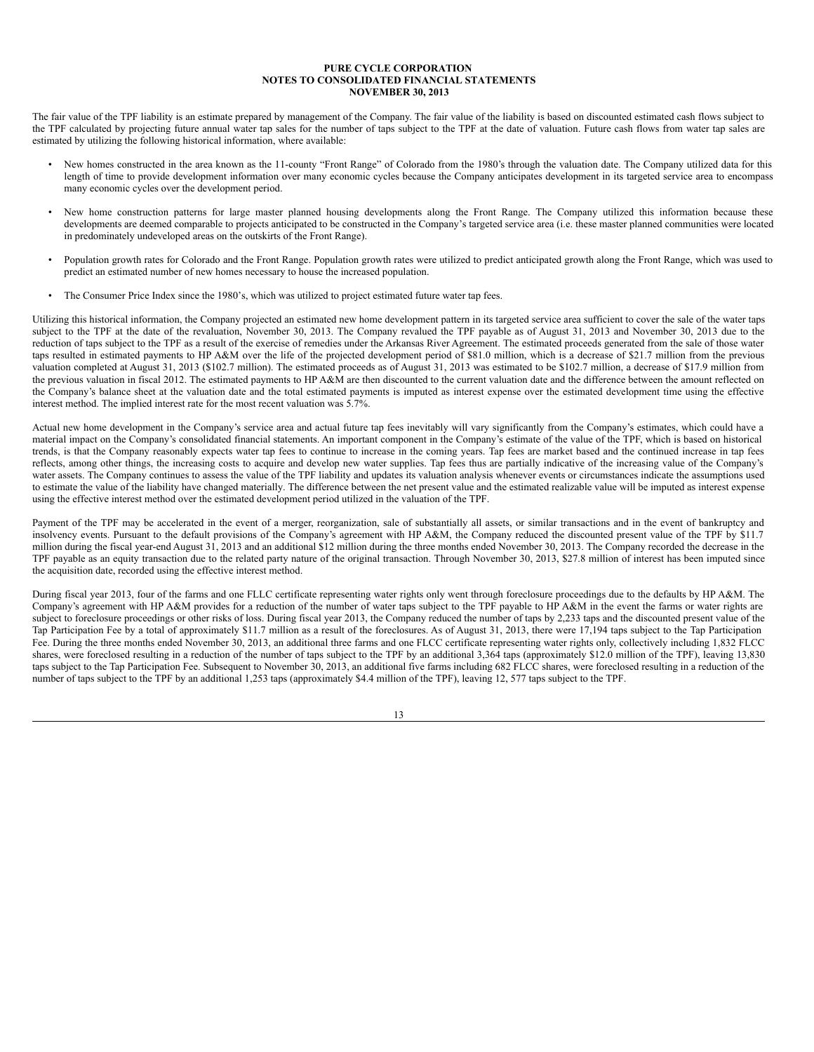The fair value of the TPF liability is an estimate prepared by management of the Company. The fair value of the liability is based on discounted estimated cash flows subject to the TPF calculated by projecting future annual water tap sales for the number of taps subject to the TPF at the date of valuation. Future cash flows from water tap sales are estimated by utilizing the following historical information, where available:

- New homes constructed in the area known as the 11-county "Front Range" of Colorado from the 1980's through the valuation date. The Company utilized data for this length of time to provide development information over many economic cycles because the Company anticipates development in its targeted service area to encompass many economic cycles over the development period.
- New home construction patterns for large master planned housing developments along the Front Range. The Company utilized this information because these developments are deemed comparable to projects anticipated to be constructed in the Company's targeted service area (i.e. these master planned communities were located in predominately undeveloped areas on the outskirts of the Front Range).
- Population growth rates for Colorado and the Front Range. Population growth rates were utilized to predict anticipated growth along the Front Range, which was used to predict an estimated number of new homes necessary to house the increased population.
- The Consumer Price Index since the 1980's, which was utilized to project estimated future water tap fees.

Utilizing this historical information, the Company projected an estimated new home development pattern in its targeted service area sufficient to cover the sale of the water taps subject to the TPF at the date of the revaluation, November 30, 2013. The Company revalued the TPF payable as of August 31, 2013 and November 30, 2013 due to the reduction of taps subject to the TPF as a result of the exercise of remedies under the Arkansas River Agreement. The estimated proceeds generated from the sale of those water taps resulted in estimated payments to HP A&M over the life of the projected development period of \$81.0 million, which is a decrease of \$21.7 million from the previous valuation completed at August 31, 2013 (\$102.7 million). The estimated proceeds as of August 31, 2013 was estimated to be \$102.7 million, a decrease of \$17.9 million from the previous valuation in fiscal 2012. The estimated payments to HP A&M are then discounted to the current valuation date and the difference between the amount reflected on the Company's balance sheet at the valuation date and the total estimated payments is imputed as interest expense over the estimated development time using the effective interest method. The implied interest rate for the most recent valuation was 5.7%.

Actual new home development in the Company's service area and actual future tap fees inevitably will vary significantly from the Company's estimates, which could have a material impact on the Company's consolidated financial statements. An important component in the Company's estimate of the value of the TPF, which is based on historical trends, is that the Company reasonably expects water tap fees to continue to increase in the coming years. Tap fees are market based and the continued increase in tap fees reflects, among other things, the increasing costs to acquire and develop new water supplies. Tap fees thus are partially indicative of the increasing value of the Company's water assets. The Company continues to assess the value of the TPF liability and updates its valuation analysis whenever events or circumstances indicate the assumptions used to estimate the value of the liability have changed materially. The difference between the net present value and the estimated realizable value will be imputed as interest expense using the effective interest method over the estimated development period utilized in the valuation of the TPF.

Payment of the TPF may be accelerated in the event of a merger, reorganization, sale of substantially all assets, or similar transactions and in the event of bankruptcy and insolvency events. Pursuant to the default provisions of the Company's agreement with HP A&M, the Company reduced the discounted present value of the TPF by \$11.7 million during the fiscal year-end August 31, 2013 and an additional \$12 million during the three months ended November 30, 2013. The Company recorded the decrease in the TPF payable as an equity transaction due to the related party nature of the original transaction. Through November 30, 2013, \$27.8 million of interest has been imputed since the acquisition date, recorded using the effective interest method.

During fiscal year 2013, four of the farms and one FLLC certificate representing water rights only went through foreclosure proceedings due to the defaults by HP A&M. The Company's agreement with HP A&M provides for a reduction of the number of water taps subject to the TPF payable to HP A&M in the event the farms or water rights are subject to foreclosure proceedings or other risks of loss. During fiscal year 2013, the Company reduced the number of taps by 2,233 taps and the discounted present value of the Tap Participation Fee by a total of approximately \$11.7 million as a result of the foreclosures. As of August 31, 2013, there were 17,194 taps subject to the Tap Participation Fee. During the three months ended November 30, 2013, an additional three farms and one FLCC certificate representing water rights only, collectively including 1,832 FLCC shares, were foreclosed resulting in a reduction of the number of taps subject to the TPF by an additional 3,364 taps (approximately \$12.0 million of the TPF), leaving 13,830 taps subject to the Tap Participation Fee. Subsequent to November 30, 2013, an additional five farms including 682 FLCC shares, were foreclosed resulting in a reduction of the number of taps subject to the TPF by an additional 1,253 taps (approximately \$4.4 million of the TPF), leaving 12, 577 taps subject to the TPF.

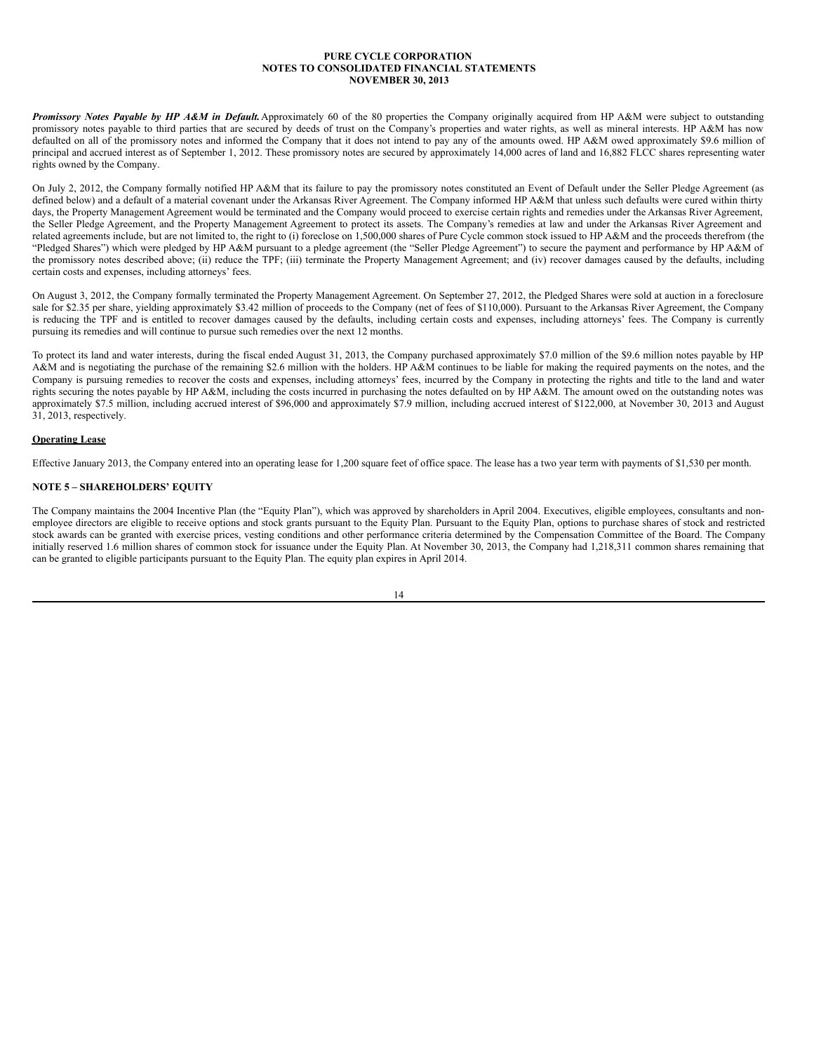*Promissory Notes Payable by HP A&M in Default.*Approximately 60 of the 80 properties the Company originally acquired from HP A&M were subject to outstanding promissory notes payable to third parties that are secured by deeds of trust on the Company's properties and water rights, as well as mineral interests. HP A&M has now defaulted on all of the promissory notes and informed the Company that it does not intend to pay any of the amounts owed. HP A&M owed approximately \$9.6 million of principal and accrued interest as of September 1, 2012. These promissory notes are secured by approximately 14,000 acres of land and 16,882 FLCC shares representing water rights owned by the Company.

On July 2, 2012, the Company formally notified HP A&M that its failure to pay the promissory notes constituted an Event of Default under the Seller Pledge Agreement (as defined below) and a default of a material covenant under the Arkansas River Agreement. The Company informed HP A&M that unless such defaults were cured within thirty days, the Property Management Agreement would be terminated and the Company would proceed to exercise certain rights and remedies under the Arkansas River Agreement, the Seller Pledge Agreement, and the Property Management Agreement to protect its assets. The Company's remedies at law and under the Arkansas River Agreement and related agreements include, but are not limited to, the right to (i) foreclose on 1,500,000 shares of Pure Cycle common stock issued to HP A&M and the proceeds therefrom (the "Pledged Shares") which were pledged by HP A&M pursuant to a pledge agreement (the "Seller Pledge Agreement") to secure the payment and performance by HP A&M of the promissory notes described above; (ii) reduce the TPF; (iii) terminate the Property Management Agreement; and (iv) recover damages caused by the defaults, including certain costs and expenses, including attorneys' fees.

On August 3, 2012, the Company formally terminated the Property Management Agreement. On September 27, 2012, the Pledged Shares were sold at auction in a foreclosure sale for \$2.35 per share, yielding approximately \$3.42 million of proceeds to the Company (net of fees of \$110,000). Pursuant to the Arkansas River Agreement, the Company is reducing the TPF and is entitled to recover damages caused by the defaults, including certain costs and expenses, including attorneys' fees. The Company is currently pursuing its remedies and will continue to pursue such remedies over the next 12 months.

To protect its land and water interests, during the fiscal ended August 31, 2013, the Company purchased approximately \$7.0 million of the \$9.6 million notes payable by HP A&M and is negotiating the purchase of the remaining \$2.6 million with the holders. HP A&M continues to be liable for making the required payments on the notes, and the Company is pursuing remedies to recover the costs and expenses, including attorneys' fees, incurred by the Company in protecting the rights and title to the land and water rights securing the notes payable by HP A&M, including the costs incurred in purchasing the notes defaulted on by HP A&M. The amount owed on the outstanding notes was approximately \$7.5 million, including accrued interest of \$96,000 and approximately \$7.9 million, including accrued interest of \$122,000, at November 30, 2013 and August  $31, 2013$ , respectively.

## **Operating Lease**

Effective January 2013, the Company entered into an operating lease for 1,200 square feet of office space. The lease has a two year term with payments of \$1,530 per month.

## **NOTE 5 – SHAREHOLDERS' EQUITY**

The Company maintains the 2004 Incentive Plan (the "Equity Plan"), which was approved by shareholders in April 2004. Executives, eligible employees, consultants and nonemployee directors are eligible to receive options and stock grants pursuant to the Equity Plan. Pursuant to the Equity Plan, options to purchase shares of stock and restricted stock awards can be granted with exercise prices, vesting conditions and other performance criteria determined by the Compensation Committee of the Board. The Company initially reserved 1.6 million shares of common stock for issuance under the Equity Plan. At November 30, 2013, the Company had 1,218,311 common shares remaining that can be granted to eligible participants pursuant to the Equity Plan. The equity plan expires in April 2014.

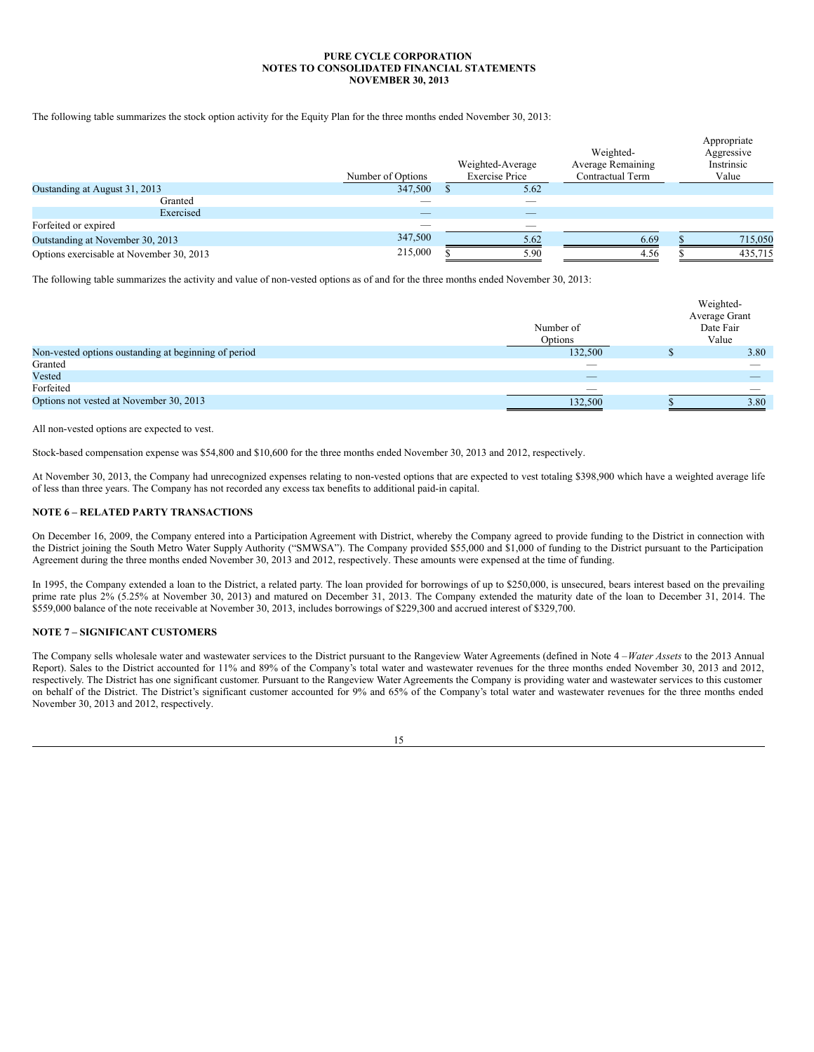The following table summarizes the stock option activity for the Equity Plan for the three months ended November 30, 2013:

|                                          | Number of Options | Weighted-Average<br><b>Exercise Price</b> | Weighted-<br><b>Average Remaining</b><br>Contractual Term | Appropriate<br>Aggressive<br>Instrinsic<br>Value |
|------------------------------------------|-------------------|-------------------------------------------|-----------------------------------------------------------|--------------------------------------------------|
| Oustanding at August 31, 2013            | 347,500           | 5.62                                      |                                                           |                                                  |
| Granted                                  |                   |                                           |                                                           |                                                  |
| Exercised                                |                   | _                                         |                                                           |                                                  |
| Forfeited or expired                     |                   | _                                         |                                                           |                                                  |
| Outstanding at November 30, 2013         | 347,500           | 5.62                                      | 6.69                                                      | 715,050                                          |
| Options exercisable at November 30, 2013 | 215,000           | 5.90                                      | 4.56                                                      | 435,715                                          |

The following table summarizes the activity and value of non-vested options as of and for the three months ended November 30, 2013:

|                                                      |                          | Weighted-     |
|------------------------------------------------------|--------------------------|---------------|
|                                                      |                          | Average Grant |
|                                                      | Number of                | Date Fair     |
|                                                      | Options                  | Value         |
| Non-vested options oustanding at beginning of period | 132,500                  | 3.80          |
| Granted                                              | $\overline{\phantom{a}}$ |               |
| Vested                                               | $\overline{\phantom{a}}$ |               |
| Forfeited                                            | $\overline{\phantom{a}}$ |               |
| Options not vested at November 30, 2013              | 132,500                  | 3.80          |

All non-vested options are expected to vest.

Stock-based compensation expense was \$54,800 and \$10,600 for the three months ended November 30, 2013 and 2012, respectively.

At November 30, 2013, the Company had unrecognized expenses relating to non-vested options that are expected to vest totaling \$398,900 which have a weighted average life of less than three years. The Company has not recorded any excess tax benefits to additional paid-in capital.

## **NOTE 6 – RELATED PARTY TRANSACTIONS**

On December 16, 2009, the Company entered into a Participation Agreement with District, whereby the Company agreed to provide funding to the District in connection with the District joining the South Metro Water Supply Authority ("SMWSA"). The Company provided \$55,000 and \$1,000 of funding to the District pursuant to the Participation Agreement during the three months ended November 30, 2013 and 2012, respectively. These amounts were expensed at the time of funding.

In 1995, the Company extended a loan to the District, a related party. The loan provided for borrowings of up to \$250,000, is unsecured, bears interest based on the prevailing prime rate plus 2% (5.25% at November 30, 2013) and matured on December 31, 2013. The Company extended the maturity date of the loan to December 31, 2014. The \$559,000 balance of the note receivable at November 30, 2013, includes borrowings of \$229,300 and accrued interest of \$329,700.

#### **NOTE 7 – SIGNIFICANT CUSTOMERS**

The Company sells wholesale water and wastewater services to the District pursuant to the Rangeview Water Agreements (defined in Note 4 –*Water Assets* to the 2013 Annual Report). Sales to the District accounted for 11% and 89% of the Company's total water and wastewater revenues for the three months ended November 30, 2013 and 2012, respectively. The District has one significant customer. Pursuant to the Rangeview Water Agreements the Company is providing water and wastewater services to this customer on behalf of the District. The District's significant customer accounted for 9% and 65% of the Company's total water and wastewater revenues for the three months ended November 30, 2013 and 2012, respectively.

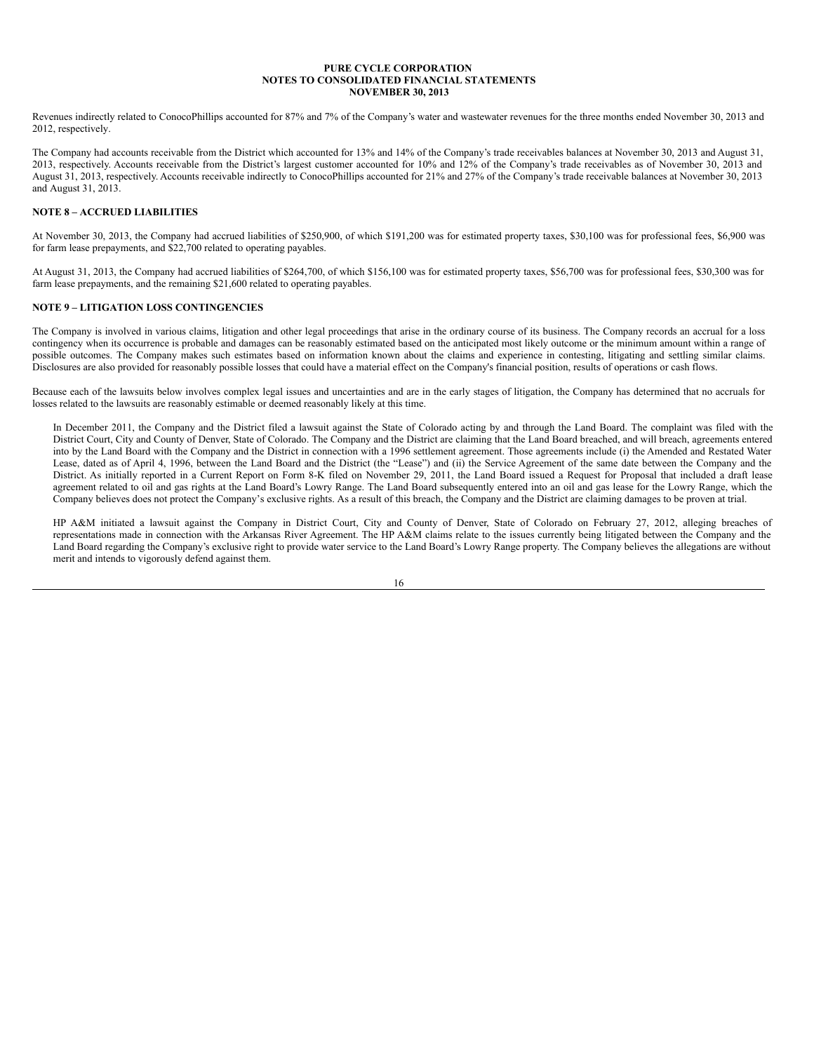Revenues indirectly related to ConocoPhillips accounted for 87% and 7% of the Company's water and wastewater revenues for the three months ended November 30, 2013 and 2012, respectively.

The Company had accounts receivable from the District which accounted for 13% and 14% of the Company's trade receivables balances at November 30, 2013 and August 31, 2013, respectively. Accounts receivable from the District's largest customer accounted for 10% and 12% of the Company's trade receivables as of November 30, 2013 and August 31, 2013, respectively. Accounts receivable indirectly to ConocoPhillips accounted for 21% and 27% of the Company's trade receivable balances at November 30, 2013 and August 31, 2013.

## **NOTE 8 – ACCRUED LIABILITIES**

At November 30, 2013, the Company had accrued liabilities of \$250,900, of which \$191,200 was for estimated property taxes, \$30,100 was for professional fees, \$6,900 was for farm lease prepayments, and \$22,700 related to operating payables.

At August 31, 2013, the Company had accrued liabilities of \$264,700, of which \$156,100 was for estimated property taxes, \$56,700 was for professional fees, \$30,300 was for farm lease prepayments, and the remaining \$21,600 related to operating payables.

## **NOTE 9 – LITIGATION LOSS CONTINGENCIES**

The Company is involved in various claims, litigation and other legal proceedings that arise in the ordinary course of its business. The Company records an accrual for a loss contingency when its occurrence is probable and damages can be reasonably estimated based on the anticipated most likely outcome or the minimum amount within a range of possible outcomes. The Company makes such estimates based on information known about the claims and experience in contesting, litigating and settling similar claims. Disclosures are also provided for reasonably possible losses that could have a material effect on the Company's financial position, results of operations or cash flows.

Because each of the lawsuits below involves complex legal issues and uncertainties and are in the early stages of litigation, the Company has determined that no accruals for losses related to the lawsuits are reasonably estimable or deemed reasonably likely at this time.

In December 2011, the Company and the District filed a lawsuit against the State of Colorado acting by and through the Land Board. The complaint was filed with the District Court, City and County of Denver, State of Colorado. The Company and the District are claiming that the Land Board breached, and will breach, agreements entered into by the Land Board with the Company and the District in connection with a 1996 settlement agreement. Those agreements include (i) the Amended and Restated Water Lease, dated as of April 4, 1996, between the Land Board and the District (the "Lease") and (ii) the Service Agreement of the same date between the Company and the District. As initially reported in a Current Report on Form 8-K filed on November 29, 2011, the Land Board issued a Request for Proposal that included a draft lease agreement related to oil and gas rights at the Land Board's Lowry Range. The Land Board subsequently entered into an oil and gas lease for the Lowry Range, which the Company believes does not protect the Company's exclusive rights. As a result of this breach, the Company and the District are claiming damages to be proven at trial.

HP A&M initiated a lawsuit against the Company in District Court, City and County of Denver, State of Colorado on February 27, 2012, alleging breaches of representations made in connection with the Arkansas River Agreement. The HP A&M claims relate to the issues currently being litigated between the Company and the Land Board regarding the Company's exclusive right to provide water service to the Land Board's Lowry Range property. The Company believes the allegations are without merit and intends to vigorously defend against them.

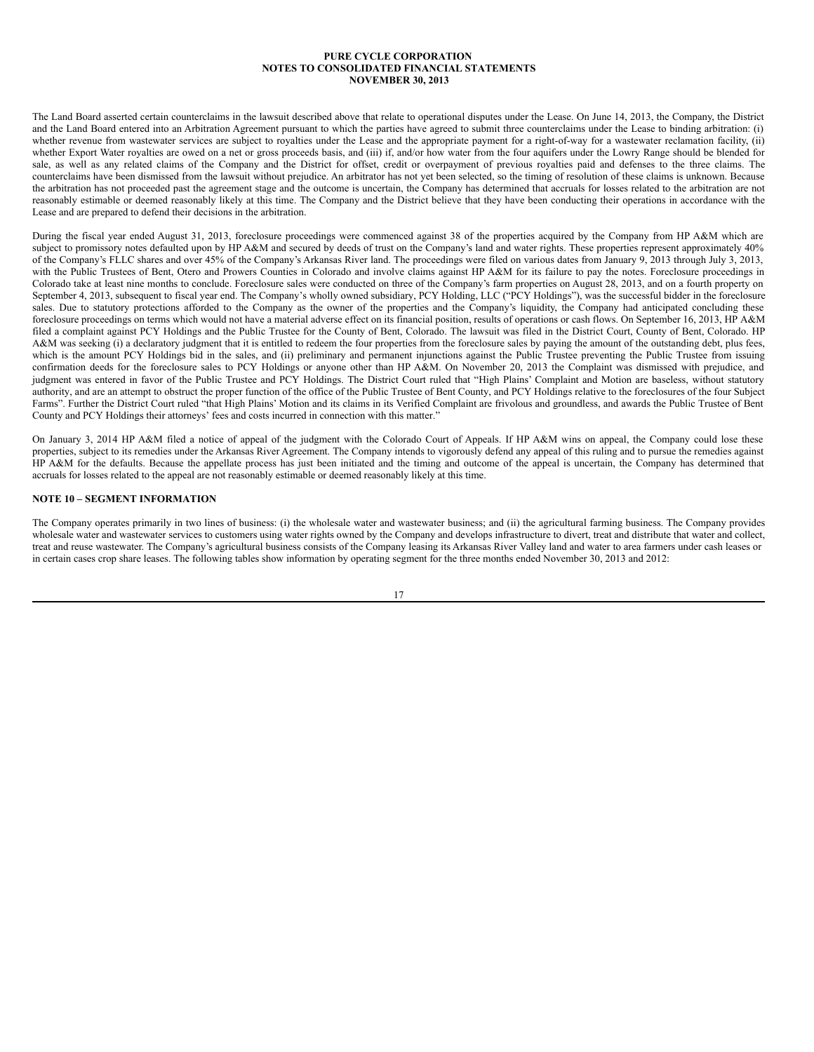<span id="page-16-0"></span>The Land Board asserted certain counterclaims in the lawsuit described above that relate to operational disputes under the Lease. On June 14, 2013, the Company, the District and the Land Board entered into an Arbitration Agreement pursuant to which the parties have agreed to submit three counterclaims under the Lease to binding arbitration: (i) whether revenue from wastewater services are subject to royalties under the Lease and the appropriate payment for a right-of-way for a wastewater reclamation facility, (ii) whether Export Water royalties are owed on a net or gross proceeds basis, and (iii) if, and/or how water from the four aquifers under the Lowry Range should be blended for sale, as well as any related claims of the Company and the District for offset, credit or overpayment of previous royalties paid and defenses to the three claims. The counterclaims have been dismissed from the lawsuit without prejudice. An arbitrator has not yet been selected, so the timing of resolution of these claims is unknown. Because the arbitration has not proceeded past the agreement stage and the outcome is uncertain, the Company has determined that accruals for losses related to the arbitration are not reasonably estimable or deemed reasonably likely at this time. The Company and the District believe that they have been conducting their operations in accordance with the Lease and are prepared to defend their decisions in the arbitration.

During the fiscal year ended August 31, 2013, foreclosure proceedings were commenced against 38 of the properties acquired by the Company from HP A&M which are subject to promissory notes defaulted upon by HP A&M and secured by deeds of trust on the Company's land and water rights. These properties represent approximately 40% of the Company's FLLC shares and over 45% of the Company's Arkansas River land. The proceedings were filed on various dates from January 9, 2013 through July 3, 2013, with the Public Trustees of Bent, Otero and Prowers Counties in Colorado and involve claims against HP A&M for its failure to pay the notes. Foreclosure proceedings in Colorado take at least nine months to conclude. Foreclosure sales were conducted on three of the Company's farm properties on August 28, 2013, and on a fourth property on September 4, 2013, subsequent to fiscal year end. The Company's wholly owned subsidiary, PCY Holding, LLC ("PCY Holdings"), was the successful bidder in the foreclosure sales. Due to statutory protections afforded to the Company as the owner of the properties and the Company's liquidity, the Company had anticipated concluding these foreclosure proceedings on terms which would not have a material adverse effect on its financial position, results of operations or cash flows. On September 16, 2013, HP A&M filed a complaint against PCY Holdings and the Public Trustee for the County of Bent, Colorado. The lawsuit was filed in the District Court, County of Bent, Colorado. HP A&M was seeking (i) a declaratory judgment that it is entitled to redeem the four properties from the foreclosure sales by paying the amount of the outstanding debt, plus fees, which is the amount PCY Holdings bid in the sales, and (ii) preliminary and permanent injunctions against the Public Trustee preventing the Public Trustee from issuing confirmation deeds for the foreclosure sales to PCY Holdings or anyone other than HP A&M. On November 20, 2013 the Complaint was dismissed with prejudice, and judgment was entered in favor of the Public Trustee and PCY Holdings. The District Court ruled that "High Plains' Complaint and Motion are baseless, without statutory authority, and are an attempt to obstruct the proper function of the office of the Public Trustee of Bent County, and PCY Holdings relative to the foreclosures of the four Subject Farms". Further the District Court ruled "that High Plains' Motion and its claims in its Verified Complaint are frivolous and groundless, and awards the Public Trustee of Bent County and PCY Holdings their attorneys' fees and costs incurred in connection with this matter."

On January 3, 2014 HP A&M filed a notice of appeal of the judgment with the Colorado Court of Appeals. If HP A&M wins on appeal, the Company could lose these properties, subject to its remedies under the Arkansas River Agreement. The Company intends to vigorously defend any appeal of this ruling and to pursue the remedies against HP A&M for the defaults. Because the appellate process has just been initiated and the timing and outcome of the appeal is uncertain, the Company has determined that accruals for losses related to the appeal are not reasonably estimable or deemed reasonably likely at this time.

#### **NOTE 10 – SEGMENT INFORMATION**

The Company operates primarily in two lines of business: (i) the wholesale water and wastewater business; and (ii) the agricultural farming business. The Company provides wholesale water and wastewater services to customers using water rights owned by the Company and develops infrastructure to divert, treat and distribute that water and collect, treat and reuse wastewater. The Company's agricultural business consists of the Company leasing its Arkansas River Valley land and water to area farmers under cash leases or in certain cases crop share leases. The following tables show information by operating segment for the three months ended November 30, 2013 and 2012:

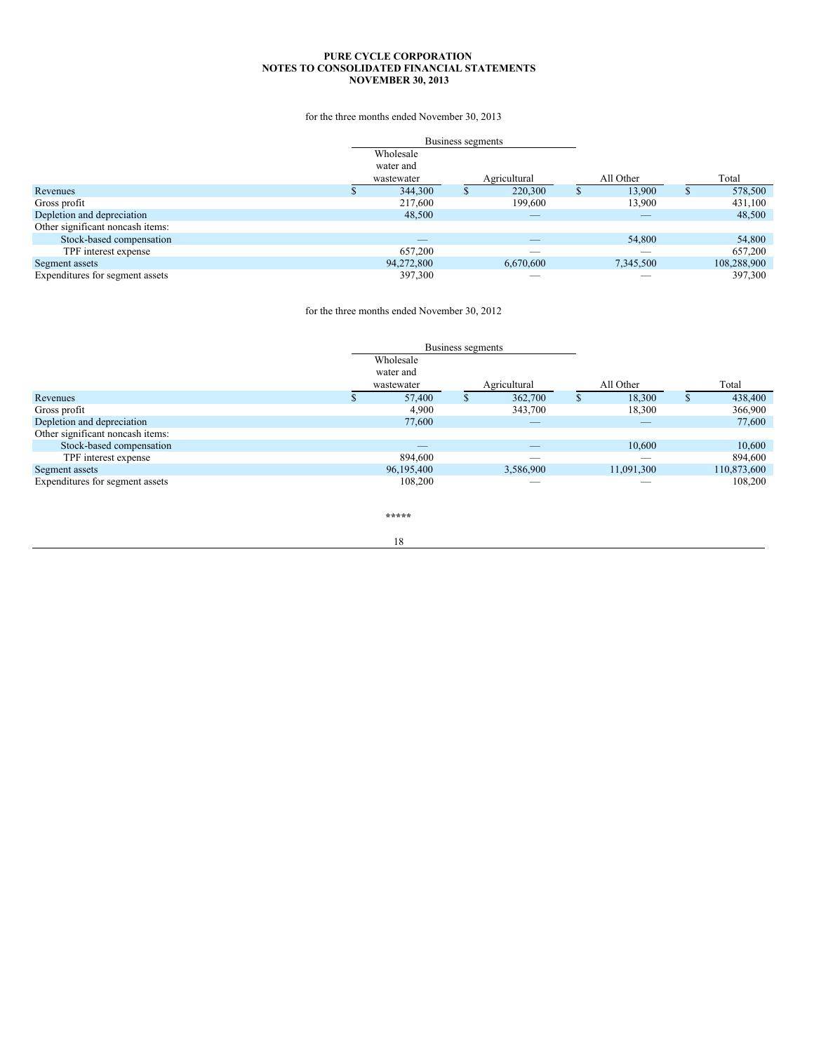for the three months ended November 30, 2013

|                                  | Business segments |                          |   |           |   |             |
|----------------------------------|-------------------|--------------------------|---|-----------|---|-------------|
|                                  | Wholesale         |                          |   |           |   |             |
|                                  | water and         |                          |   |           |   |             |
|                                  | wastewater        | Agricultural             |   | All Other |   | Total       |
| Revenues                         | 344,300           | 220,300                  | ъ | 13.900    | S | 578,500     |
| Gross profit                     | 217,600           | 199,600                  |   | 13,900    |   | 431,100     |
| Depletion and depreciation       | 48,500            | _                        |   | _         |   | 48,500      |
| Other significant noncash items: |                   |                          |   |           |   |             |
| Stock-based compensation         | _                 |                          |   | 54,800    |   | 54,800      |
| TPF interest expense             | 657,200           | $\overline{\phantom{a}}$ |   | _         |   | 657,200     |
| Segment assets                   | 94,272,800        | 6,670,600                |   | 7,345,500 |   | 108,288,900 |
| Expenditures for segment assets  | 397,300           |                          |   |           |   | 397,300     |

for the three months ended November 30, 2012

|                                  |            | Business segments |                          |              |            |   |             |
|----------------------------------|------------|-------------------|--------------------------|--------------|------------|---|-------------|
|                                  | Wholesale  |                   |                          |              |            |   |             |
|                                  | water and  |                   |                          |              |            |   |             |
|                                  | wastewater |                   | Agricultural             |              | All Other  |   | Total       |
| Revenues                         | 57,400     | Ъ.                | 362,700                  | $\mathbf{D}$ | 18,300     | D | 438,400     |
| Gross profit                     | 4,900      |                   | 343,700                  |              | 18,300     |   | 366,900     |
| Depletion and depreciation       | 77,600     |                   | $\overline{\phantom{a}}$ |              | $-$        |   | 77,600      |
| Other significant noncash items: |            |                   |                          |              |            |   |             |
| Stock-based compensation         | $-$        |                   | $\overline{\phantom{a}}$ |              | 10.600     |   | 10.600      |
| TPF interest expense             | 894,600    |                   | ___                      |              | _          |   | 894,600     |
| Segment assets                   | 96,195,400 |                   | 3,586,900                |              | 11,091,300 |   | 110,873,600 |
| Expenditures for segment assets  | 108,200    |                   | $\overline{\phantom{a}}$ |              |            |   | 108,200     |

**\*\*\*\*\***

18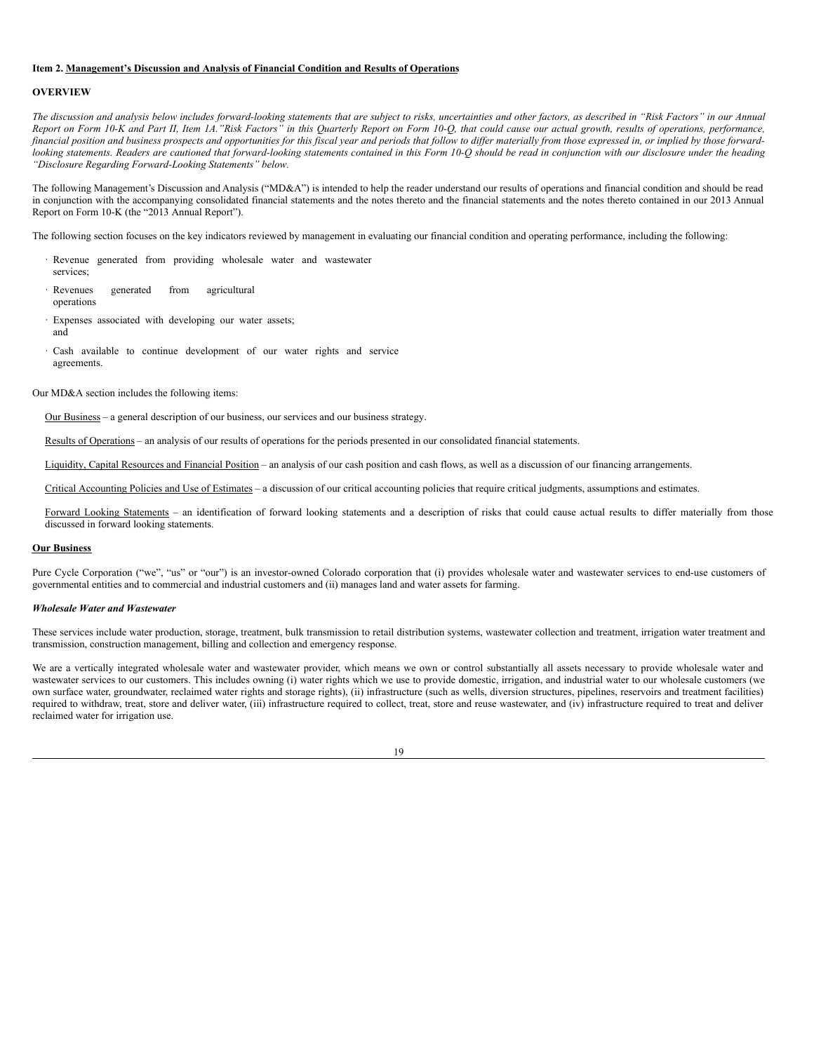#### **Item 2. Management's Discussion and Analysis of Financial Condition and Results of Operations**

#### **OVERVIEW**

The discussion and analysis below includes forward-looking statements that are subject to risks, uncertainties and other factors, as described in "Risk Factors" in our Annual Report on Form 10-K and Part II, Item 1A."Risk Factors" in this Quarterly Report on Form 10-Q, that could cause our actual growth, results of operations, performance, financial position and business prospects and opportunities for this fiscal year and periods that follow to differ materially from those expressed in, or implied by those forwardlooking statements. Readers are cautioned that forward-looking statements contained in this Form 10-Q should be read in conjunction with our disclosure under the heading *"Disclosure Regarding Forward-Looking Statements" below.*

The following Management's Discussion and Analysis ("MD&A") is intended to help the reader understand our results of operations and financial condition and should be read in conjunction with the accompanying consolidated financial statements and the notes thereto and the financial statements and the notes thereto contained in our 2013 Annual Report on Form 10-K (the "2013 Annual Report").

The following section focuses on the key indicators reviewed by management in evaluating our financial condition and operating performance, including the following:

- · Revenue generated from providing wholesale water and wastewater services;
- · Revenues generated from agricultural operations
- Expenses associated with developing our water assets; and
- Cash available to continue development of our water rights and service agreements.

Our MD&A section includes the following items:

Our Business – a general description of our business, our services and our business strategy.

Results of Operations – an analysis of our results of operations for the periods presented in our consolidated financial statements.

Liquidity, Capital Resources and Financial Position – an analysis of our cash position and cash flows, as well as a discussion of our financing arrangements.

Critical Accounting Policies and Use of Estimates – a discussion of our critical accounting policies that require critical judgments, assumptions and estimates.

Forward Looking Statements - an identification of forward looking statements and a description of risks that could cause actual results to differ materially from those discussed in forward looking statements.

#### **Our Business**

Pure Cycle Corporation ("we", "us" or "our") is an investor-owned Colorado corporation that (i) provides wholesale water and wastewater services to end-use customers of governmental entities and to commercial and industrial customers and (ii) manages land and water assets for farming.

#### *Wholesale Water and Wastewater*

These services include water production, storage, treatment, bulk transmission to retail distribution systems, wastewater collection and treatment, irrigation water treatment and transmission, construction management, billing and collection and emergency response.

We are a vertically integrated wholesale water and wastewater provider, which means we own or control substantially all assets necessary to provide wholesale water and wastewater services to our customers. This includes owning (i) water rights which we use to provide domestic, irrigation, and industrial water to our wholesale customers (we own surface water, groundwater, reclaimed water rights and storage rights), (ii) infrastructure (such as wells, diversion structures, pipelines, reservoirs and treatment facilities) required to withdraw, treat, store and deliver water, (iii) infrastructure required to collect, treat, store and reuse wastewater, and (iv) infrastructure required to treat and deliver reclaimed water for irrigation use.

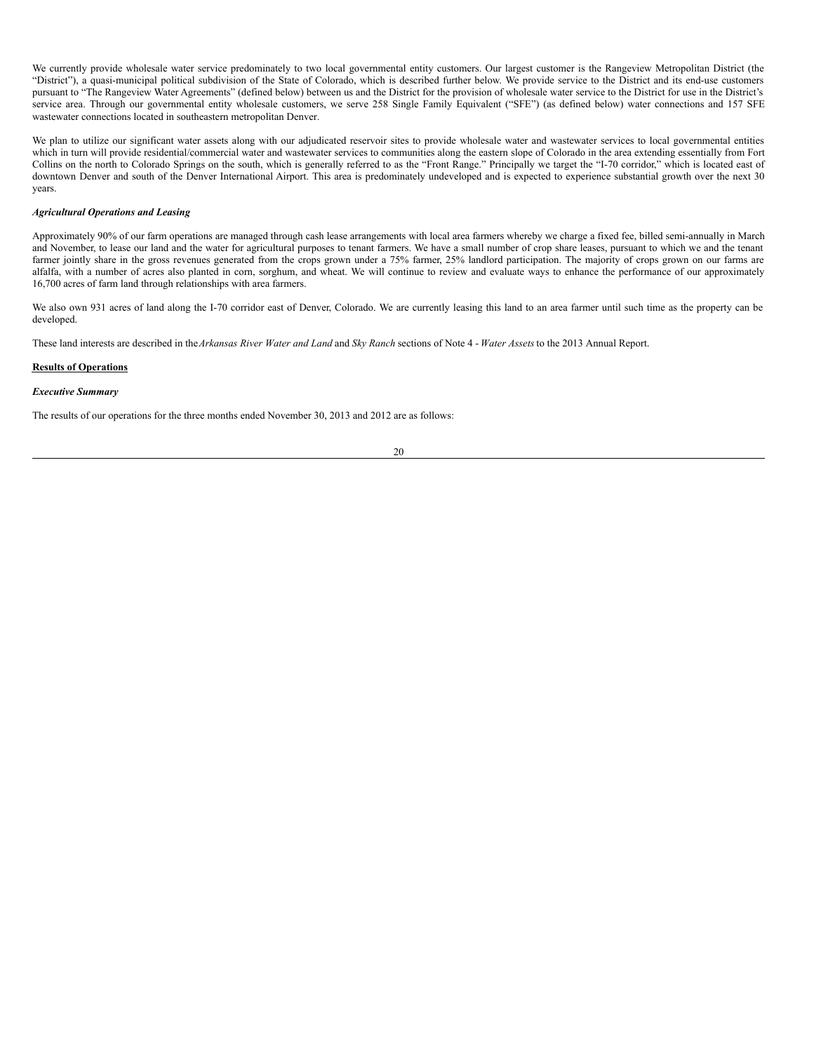We currently provide wholesale water service predominately to two local governmental entity customers. Our largest customer is the Rangeview Metropolitan District (the "District"), a quasi-municipal political subdivision of the State of Colorado, which is described further below. We provide service to the District and its end-use customers pursuant to "The Rangeview Water Agreements" (defined below) between us and the District for the provision of wholesale water service to the District for use in the District's service area. Through our governmental entity wholesale customers, we serve 258 Single Family Equivalent ("SFE") (as defined below) water connections and 157 SFE wastewater connections located in southeastern metropolitan Denver.

We plan to utilize our significant water assets along with our adjudicated reservoir sites to provide wholesale water and wastewater services to local governmental entities which in turn will provide residential/commercial water and wastewater services to communities along the eastern slope of Colorado in the area extending essentially from Fort Collins on the north to Colorado Springs on the south, which is generally referred to as the "Front Range." Principally we target the "I-70 corridor," which is located east of downtown Denver and south of the Denver International Airport. This area is predominately undeveloped and is expected to experience substantial growth over the next 30 years.

## *Agricultural Operations and Leasing*

Approximately 90% of our farm operations are managed through cash lease arrangements with local area farmers whereby we charge a fixed fee, billed semi-annually in March and November, to lease our land and the water for agricultural purposes to tenant farmers. We have a small number of crop share leases, pursuant to which we and the tenant farmer jointly share in the gross revenues generated from the crops grown under a 75% farmer, 25% landlord participation. The majority of crops grown on our farms are alfalfa, with a number of acres also planted in corn, sorghum, and wheat. We will continue to review and evaluate ways to enhance the performance of our approximately 16,700 acres of farm land through relationships with area farmers.

We also own 931 acres of land along the I-70 corridor east of Denver, Colorado. We are currently leasing this land to an area farmer until such time as the property can be developed.

These land interests are described in the*Arkansas River Water and Land* and *Sky Ranch* sections of Note 4 - *Water Assets* to the 2013 Annual Report.

#### **Results of Operations**

#### *Executive Summary*

The results of our operations for the three months ended November 30, 2013 and 2012 are as follows: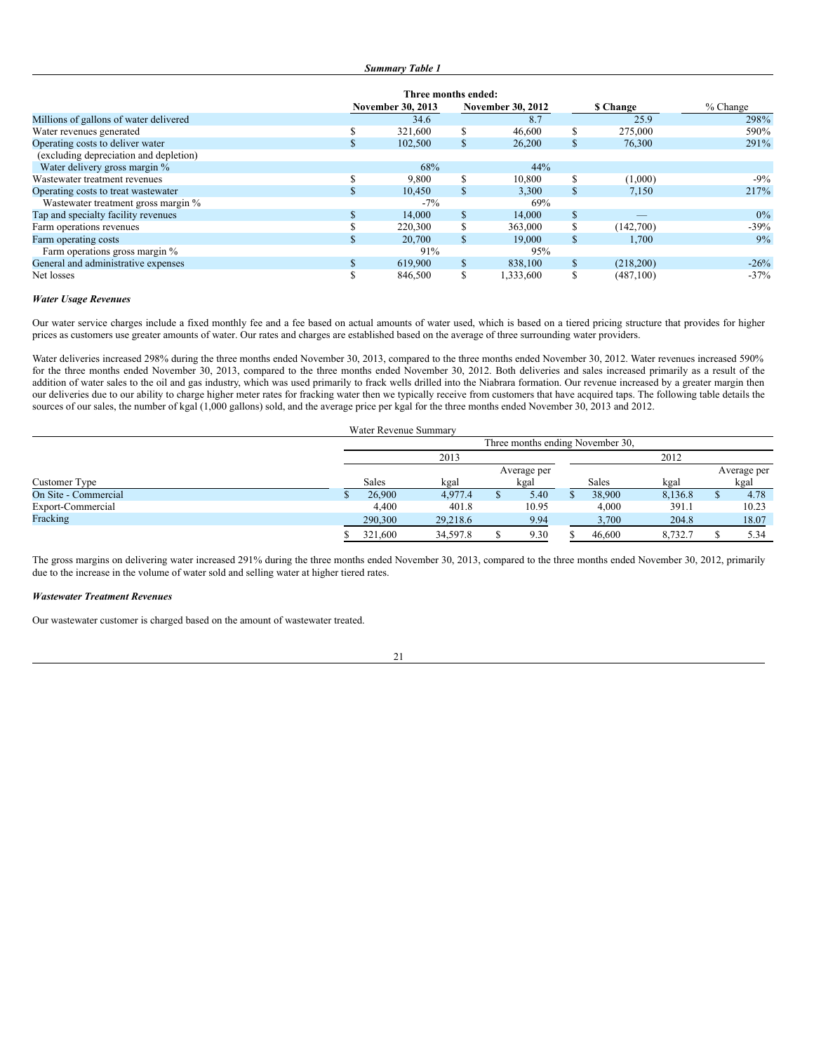| <b>Summary Table 1</b> |  |
|------------------------|--|
|                        |  |

|                                        | Three months ended:      |         |                          |           |                 |            |            |  |
|----------------------------------------|--------------------------|---------|--------------------------|-----------|-----------------|------------|------------|--|
|                                        | <b>November 30, 2013</b> |         | <b>November 30, 2012</b> |           | <b>S</b> Change |            | $%$ Change |  |
| Millions of gallons of water delivered |                          | 34.6    |                          | 8.7       |                 | 25.9       | 298%       |  |
| Water revenues generated               | ø<br>Ф                   | 321,600 |                          | 46,600    | S               | 275,000    | 590%       |  |
| Operating costs to deliver water       | аĐ.                      | 102,500 | $\mathcal{P}$            | 26,200    | S               | 76,300     | 291%       |  |
| (excluding depreciation and depletion) |                          |         |                          |           |                 |            |            |  |
| Water delivery gross margin %          |                          | 68%     |                          | 44%       |                 |            |            |  |
| Wastewater treatment revenues          |                          | 9,800   |                          | 10,800    | S               | (1,000)    | $-9\%$     |  |
| Operating costs to treat wastewater    | Ф                        | 10.450  | \$                       | 3.300     | S               | 7,150      | 217%       |  |
| Wastewater treatment gross margin %    |                          | $-7\%$  |                          | 69%       |                 |            |            |  |
| Tap and specialty facility revenues    | ъ                        | 14,000  | \$                       | 14,000    | S               |            | $0\%$      |  |
| Farm operations revenues               |                          | 220,300 |                          | 363,000   | S               | (142,700)  | $-39%$     |  |
| Farm operating costs                   | ъ                        | 20,700  | \$.                      | 19,000    | \$              | 1,700      | 9%         |  |
| Farm operations gross margin %         |                          | 91%     |                          | 95%       |                 |            |            |  |
| General and administrative expenses    | \$.                      | 619,900 | \$.                      | 838,100   | S               | (218,200)  | $-26%$     |  |
| Net losses                             | S                        | 846,500 | ъ                        | 1,333,600 | S               | (487, 100) | $-37%$     |  |

## *Water Usage Revenues*

Our water service charges include a fixed monthly fee and a fee based on actual amounts of water used, which is based on a tiered pricing structure that provides for higher prices as customers use greater amounts of water. Our rates and charges are established based on the average of three surrounding water providers.

Water deliveries increased 298% during the three months ended November 30, 2013, compared to the three months ended November 30, 2012. Water revenues increased 590% for the three months ended November 30, 2013, compared to the three months ended November 30, 2012. Both deliveries and sales increased primarily as a result of the addition of water sales to the oil and gas industry, which was used primarily to frack wells drilled into the Niabrara formation. Our revenue increased by a greater margin then our deliveries due to our ability to charge higher meter rates for fracking water then we typically receive from customers that have acquired taps. The following table details the sources of our sales, the number of kgal (1,000 gallons) sold, and the average price per kgal for the three months ended November 30, 2013 and 2012.

|                      |  | Water Revenue Summary            |          |  |       |  |               |             |  |       |  |
|----------------------|--|----------------------------------|----------|--|-------|--|---------------|-------------|--|-------|--|
|                      |  | Three months ending November 30, |          |  |       |  |               |             |  |       |  |
|                      |  |                                  | 2013     |  | 2012  |  |               |             |  |       |  |
|                      |  |                                  |          |  |       |  |               | Average per |  |       |  |
| Customer Type        |  | <b>Sales</b><br>kgal<br>kgal     |          |  |       |  | Sales<br>kgal |             |  | kgal  |  |
| On Site - Commercial |  | 26,900                           | 4,977.4  |  | 5.40  |  | 38,900        | 8,136.8     |  | 4.78  |  |
| Export-Commercial    |  | 4,400                            | 401.8    |  | 10.95 |  | 4,000         | 391.1       |  | 10.23 |  |
| Fracking             |  | 290,300                          | 29,218.6 |  | 9.94  |  | 3,700         | 204.8       |  | 18.07 |  |
|                      |  | 321,600                          | 34,597.8 |  | 9.30  |  | 46,600        | 8,732.7     |  | 5.34  |  |

The gross margins on delivering water increased 291% during the three months ended November 30, 2013, compared to the three months ended November 30, 2012, primarily due to the increase in the volume of water sold and selling water at higher tiered rates.

## *Wastewater Treatment Revenues*

Our wastewater customer is charged based on the amount of wastewater treated.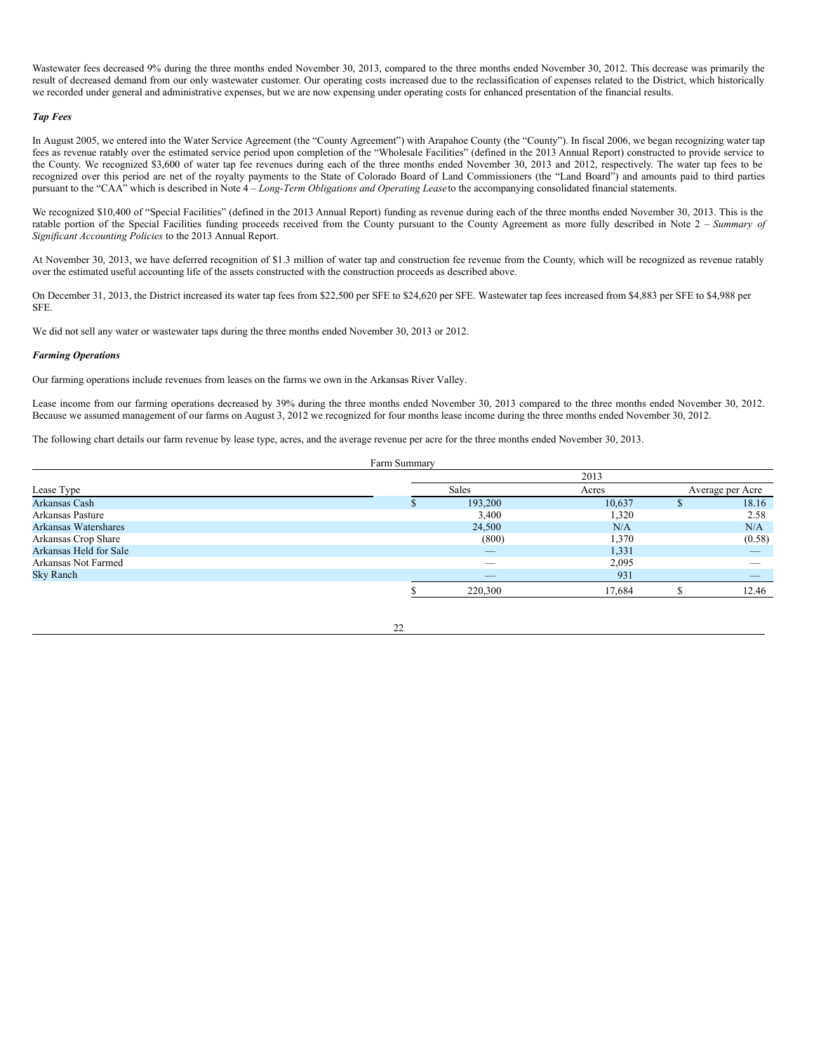Wastewater fees decreased 9% during the three months ended November 30, 2013, compared to the three months ended November 30, 2012. This decrease was primarily the result of decreased demand from our only wastewater customer. Our operating costs increased due to the reclassification of expenses related to the District, which historically we recorded under general and administrative expenses, but we are now expensing under operating costs for enhanced presentation of the financial results.

#### *Tap Fees*

In August 2005, we entered into the Water Service Agreement (the "County Agreement") with Arapahoe County (the "County"). In fiscal 2006, we began recognizing water tap fees as revenue ratably over the estimated service period upon completion of the "Wholesale Facilities" (defined in the 2013 Annual Report) constructed to provide service to the County. We recognized \$3,600 of water tap fee revenues during each of the three months ended November 30, 2013 and 2012, respectively. The water tap fees to be recognized over this period are net of the royalty payments to the State of Colorado Board of Land Commissioners (the "Land Board") and amounts paid to third parties pursuant to the "CAA" which is described in Note 4 – *Long-Term Obligations and Operating Lease*to the accompanying consolidated financial statements.

We recognized \$10,400 of "Special Facilities" (defined in the 2013 Annual Report) funding as revenue during each of the three months ended November 30, 2013. This is the ratable portion of the Special Facilities funding proceeds received from the County pursuant to the County Agreement as more fully described in Note 2 – *Summary of Significant Accounting Policies* to the 2013 Annual Report.

At November 30, 2013, we have deferred recognition of \$1.3 million of water tap and construction fee revenue from the County, which will be recognized as revenue ratably over the estimated useful accounting life of the assets constructed with the construction proceeds as described above.

On December 31, 2013, the District increased its water tap fees from \$22,500 per SFE to \$24,620 per SFE. Wastewater tap fees increased from \$4,883 per SFE to \$4,988 per SFE.

We did not sell any water or wastewater taps during the three months ended November 30, 2013 or 2012.

#### *Farming Operations*

Our farming operations include revenues from leases on the farms we own in the Arkansas River Valley.

Lease income from our farming operations decreased by 39% during the three months ended November 30, 2013 compared to the three months ended November 30, 2012. Because we assumed management of our farms on August 3, 2012 we recognized for four months lease income during the three months ended November 30, 2012.

The following chart details our farm revenue by lease type, acres, and the average revenue per acre for the three months ended November 30, 2013.

Farm Summary

|                        |  |                          | 2013   |  |                  |  |
|------------------------|--|--------------------------|--------|--|------------------|--|
| Lease Type             |  | Sales                    | Acres  |  | Average per Acre |  |
| Arkansas Cash          |  | 193,200                  | 10,637 |  | 18.16            |  |
| Arkansas Pasture       |  | 3,400                    | 1,320  |  | 2.58             |  |
| Arkansas Watershares   |  | 24,500                   | N/A    |  | N/A              |  |
| Arkansas Crop Share    |  | (800)                    | 1,370  |  | (0.58)           |  |
| Arkansas Held for Sale |  | _                        | 1,331  |  |                  |  |
| Arkansas Not Farmed    |  | $\overline{\phantom{a}}$ | 2,095  |  |                  |  |
| Sky Ranch              |  | $\qquad \qquad - \qquad$ | 931    |  |                  |  |
|                        |  | 220,300                  | 17.684 |  | 12.46            |  |

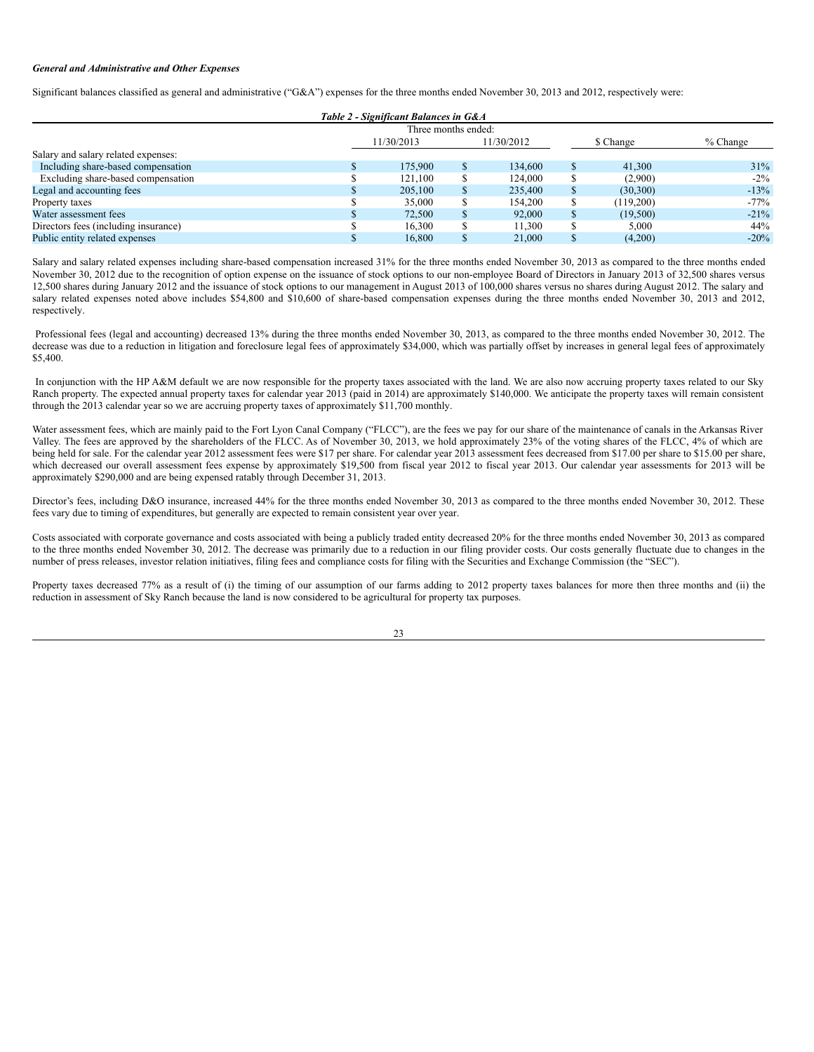#### *General and Administrative and Other Expenses*

Significant balances classified as general and administrative ("G&A") expenses for the three months ended November 30, 2013 and 2012, respectively were:

|                                      |                          | Table 2 - Significant Balances in G&A |           |  |            |         |
|--------------------------------------|--------------------------|---------------------------------------|-----------|--|------------|---------|
|                                      |                          | Three months ended:                   |           |  |            |         |
|                                      | 11/30/2013<br>11/30/2012 |                                       | \$ Change |  | $%$ Change |         |
| Salary and salary related expenses:  |                          |                                       |           |  |            |         |
| Including share-based compensation   |                          | 175,900                               | 134,600   |  | 41,300     | 31%     |
| Excluding share-based compensation   |                          | 121.100                               | 124,000   |  | (2,900)    | $-2\%$  |
| Legal and accounting fees            |                          | 205,100                               | 235,400   |  | (30,300)   | $-13%$  |
| Property taxes                       |                          | 35,000                                | 154,200   |  | (119,200)  | $-77\%$ |
| Water assessment fees                |                          | 72,500                                | 92,000    |  | (19,500)   | $-21\%$ |
| Directors fees (including insurance) |                          | 16.300                                | 11.300    |  | 5,000      | 44%     |
| Public entity related expenses       |                          | 16.800                                | 21,000    |  | (4,200)    | $-20%$  |

Salary and salary related expenses including share-based compensation increased 31% for the three months ended November 30, 2013 as compared to the three months ended November 30, 2012 due to the recognition of option expense on the issuance of stock options to our non-employee Board of Directors in January 2013 of 32,500 shares versus 12,500 shares during January 2012 and the issuance of stock options to our management in August 2013 of 100,000 shares versus no shares during August 2012. The salary and salary related expenses noted above includes \$54,800 and \$10,600 of share-based compensation expenses during the three months ended November 30, 2013 and 2012, respectively.

Professional fees (legal and accounting) decreased 13% during the three months ended November 30, 2013, as compared to the three months ended November 30, 2012. The decrease was due to a reduction in litigation and foreclosure legal fees of approximately \$34,000, which was partially offset by increases in general legal fees of approximately \$5,400.

In conjunction with the HP A&M default we are now responsible for the property taxes associated with the land. We are also now accruing property taxes related to our Sky Ranch property. The expected annual property taxes for calendar year 2013 (paid in 2014) are approximately \$140,000. We anticipate the property taxes will remain consistent through the 2013 calendar year so we are accruing property taxes of approximately \$11,700 monthly.

Water assessment fees, which are mainly paid to the Fort Lyon Canal Company ("FLCC"), are the fees we pay for our share of the maintenance of canals in the Arkansas River Valley. The fees are approved by the shareholders of the FLCC. As of November 30, 2013, we hold approximately 23% of the voting shares of the FLCC, 4% of which are being held for sale. For the calendar year 2012 assessment fees were \$17 per share. For calendar year 2013 assessment fees decreased from \$17.00 per share to \$15.00 per share, which decreased our overall assessment fees expense by approximately \$19,500 from fiscal year 2012 to fiscal year 2013. Our calendar year assessments for 2013 will be approximately \$290,000 and are being expensed ratably through December 31, 2013.

Director's fees, including D&O insurance, increased 44% for the three months ended November 30, 2013 as compared to the three months ended November 30, 2012. These fees vary due to timing of expenditures, but generally are expected to remain consistent year over year.

Costs associated with corporate governance and costs associated with being a publicly traded entity decreased 20% for the three months ended November 30, 2013 as compared to the three months ended November 30, 2012. The decrease was primarily due to a reduction in our filing provider costs. Our costs generally fluctuate due to changes in the number of press releases, investor relation initiatives, filing fees and compliance costs for filing with the Securities and Exchange Commission (the "SEC").

Property taxes decreased 77% as a result of (i) the timing of our assumption of our farms adding to 2012 property taxes balances for more then three months and (ii) the reduction in assessment of Sky Ranch because the land is now considered to be agricultural for property tax purposes.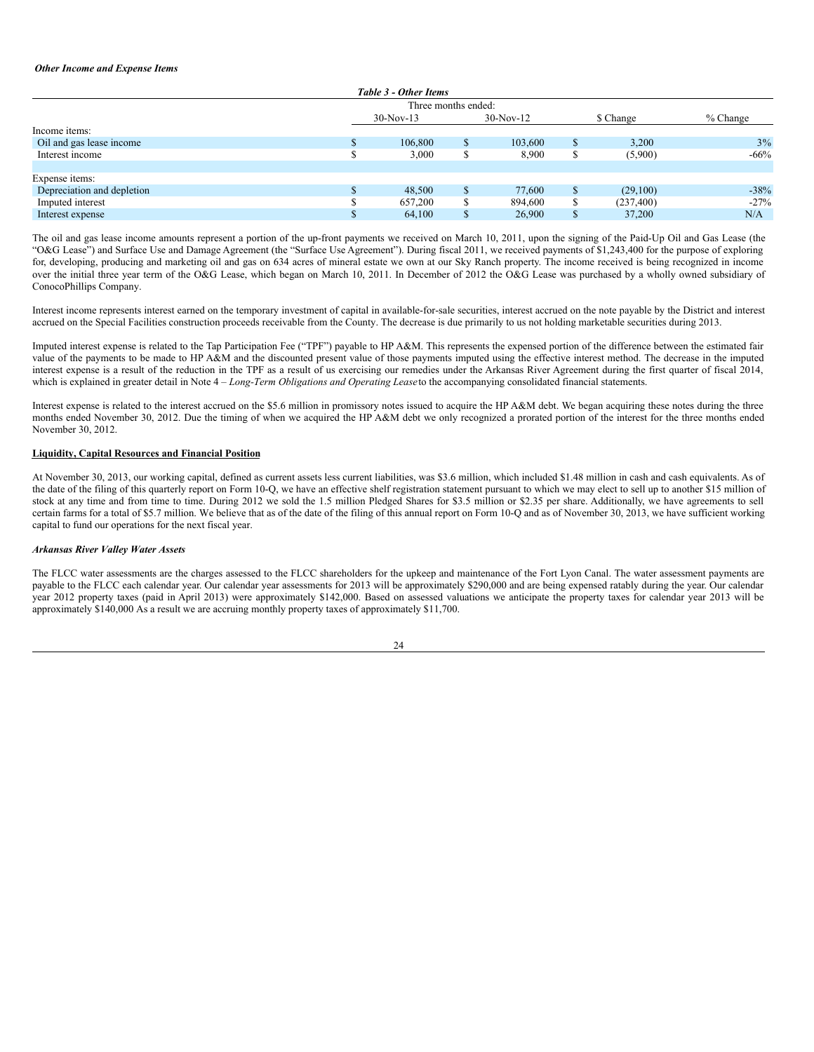#### *Other Income and Expense Items*

|                            | Table 3 - Other Items |                     |             |  |            |            |
|----------------------------|-----------------------|---------------------|-------------|--|------------|------------|
|                            |                       | Three months ended: |             |  |            |            |
|                            | $30-Nov-13$           |                     | $30-Nov-12$ |  | \$ Change  | $%$ Change |
| Income items:              |                       |                     |             |  |            |            |
| Oil and gas lease income   | 106,800               |                     | 103,600     |  | 3,200      | 3%         |
| Interest income            | 3,000                 |                     | 8,900       |  | (5,900)    | $-66%$     |
|                            |                       |                     |             |  |            |            |
| Expense items:             |                       |                     |             |  |            |            |
| Depreciation and depletion | 48,500                |                     | 77,600      |  | (29,100)   | $-38%$     |
| Imputed interest           | 657,200               |                     | 894,600     |  | (237, 400) | $-27%$     |
| Interest expense           | 64,100                |                     | 26,900      |  | 37,200     | N/A        |

The oil and gas lease income amounts represent a portion of the up-front payments we received on March 10, 2011, upon the signing of the Paid-Up Oil and Gas Lease (the "O&G Lease") and Surface Use and Damage Agreement (the "Surface Use Agreement"). During fiscal 2011, we received payments of \$1,243,400 for the purpose of exploring for, developing, producing and marketing oil and gas on 634 acres of mineral estate we own at our Sky Ranch property. The income received is being recognized in income over the initial three year term of the O&G Lease, which began on March 10, 2011. In December of 2012 the O&G Lease was purchased by a wholly owned subsidiary of ConocoPhillips Company.

Interest income represents interest earned on the temporary investment of capital in available-for-sale securities, interest accrued on the note payable by the District and interest accrued on the Special Facilities construction proceeds receivable from the County. The decrease is due primarily to us not holding marketable securities during 2013.

Imputed interest expense is related to the Tap Participation Fee ("TPF") payable to HP A&M. This represents the expensed portion of the difference between the estimated fair value of the payments to be made to HP A&M and the discounted present value of those payments imputed using the effective interest method. The decrease in the imputed interest expense is a result of the reduction in the TPF as a result of us exercising our remedies under the Arkansas River Agreement during the first quarter of fiscal 2014, which is explained in greater detail in Note 4 – *Long-Term Obligations and Operating Lease*to the accompanying consolidated financial statements.

Interest expense is related to the interest accrued on the \$5.6 million in promissory notes issued to acquire the HP A&M debt. We began acquiring these notes during the three months ended November 30, 2012. Due the timing of when we acquired the HP A&M debt we only recognized a prorated portion of the interest for the three months ended November 30, 2012.

## **Liquidity, Capital Resources and Financial Position**

At November 30, 2013, our working capital, defined as current assets less current liabilities, was \$3.6 million, which included \$1.48 million in cash and cash equivalents. As of the date of the filing of this quarterly report on Form 10-Q, we have an effective shelf registration statement pursuant to which we may elect to sell up to another \$15 million of stock at any time and from time to time. During 2012 we sold the 1.5 million Pledged Shares for \$3.5 million or \$2.35 per share. Additionally, we have agreements to sell certain farms for a total of \$5.7 million. We believe that as of the date of the filing of this annual report on Form 10-Q and as of November 30, 2013, we have sufficient working capital to fund our operations for the next fiscal year.

#### *Arkansas River Valley Water Assets*

The FLCC water assessments are the charges assessed to the FLCC shareholders for the upkeep and maintenance of the Fort Lyon Canal. The water assessment payments are payable to the FLCC each calendar year. Our calendar year assessments for 2013 will be approximately \$290,000 and are being expensed ratably during the year. Our calendar year 2012 property taxes (paid in April 2013) were approximately \$142,000. Based on assessed valuations we anticipate the property taxes for calendar year 2013 will be approximately \$140,000 As a result we are accruing monthly property taxes of approximately \$11,700.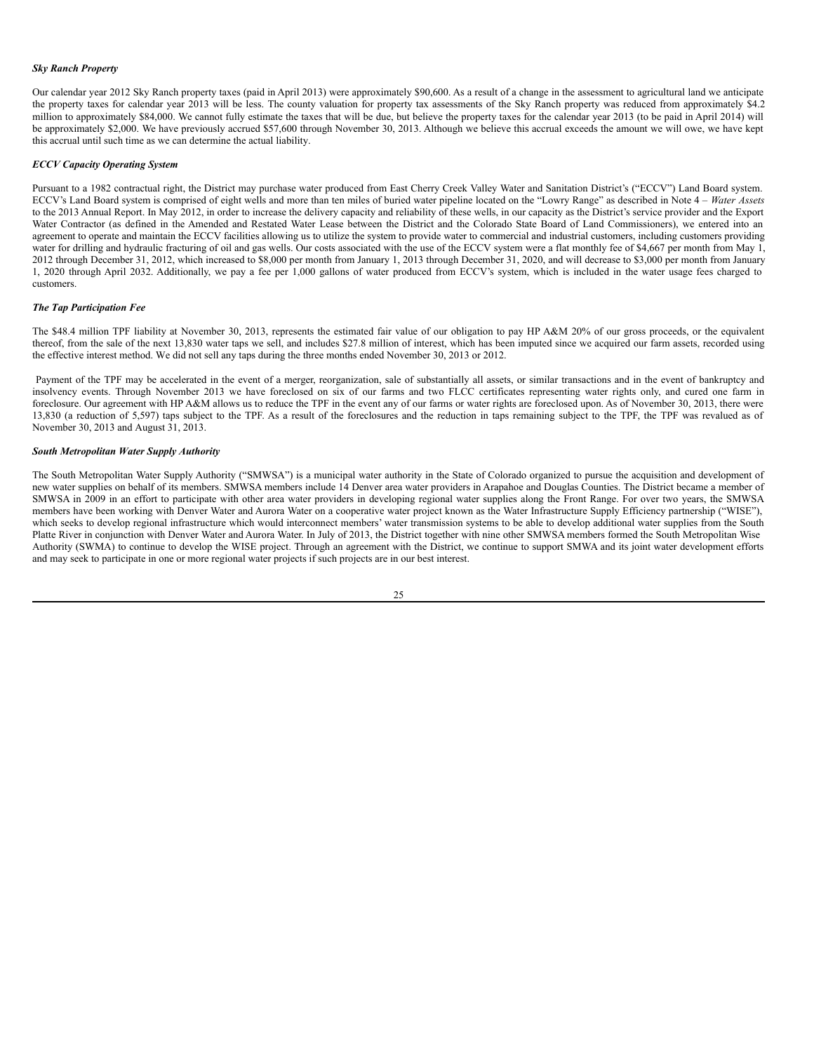#### *Sky Ranch Property*

Our calendar year 2012 Sky Ranch property taxes (paid in April 2013) were approximately \$90,600. As a result of a change in the assessment to agricultural land we anticipate the property taxes for calendar year 2013 will be less. The county valuation for property tax assessments of the Sky Ranch property was reduced from approximately \$4.2 million to approximately \$84,000. We cannot fully estimate the taxes that will be due, but believe the property taxes for the calendar year 2013 (to be paid in April 2014) will be approximately \$2,000. We have previously accrued \$57,600 through November 30, 2013. Although we believe this accrual exceeds the amount we will owe, we have kept this accrual until such time as we can determine the actual liability.

#### *ECCV Capacity Operating System*

Pursuant to a 1982 contractual right, the District may purchase water produced from East Cherry Creek Valley Water and Sanitation District's ("ECCV") Land Board system. ECCV's Land Board system is comprised of eight wells and more than ten miles of buried water pipeline located on the "Lowry Range" as described in Note 4 – *Water Assets* to the 2013 Annual Report. In May 2012, in order to increase the delivery capacity and reliability of these wells, in our capacity as the District's service provider and the Export Water Contractor (as defined in the Amended and Restated Water Lease between the District and the Colorado State Board of Land Commissioners), we entered into an agreement to operate and maintain the ECCV facilities allowing us to utilize the system to provide water to commercial and industrial customers, including customers providing water for drilling and hydraulic fracturing of oil and gas wells. Our costs associated with the use of the ECCV system were a flat monthly fee of \$4,667 per month from May 1, 2012 through December 31, 2012, which increased to \$8,000 per month from January 1, 2013 through December 31, 2020, and will decrease to \$3,000 per month from January 1, 2020 through April 2032. Additionally, we pay a fee per 1,000 gallons of water produced from ECCV's system, which is included in the water usage fees charged to customers.

#### *The Tap Participation Fee*

The \$48.4 million TPF liability at November 30, 2013, represents the estimated fair value of our obligation to pay HP A&M 20% of our gross proceeds, or the equivalent thereof, from the sale of the next 13,830 water taps we sell, and includes \$27.8 million of interest, which has been imputed since we acquired our farm assets, recorded using the effective interest method. We did not sell any taps during the three months ended November 30, 2013 or 2012.

Payment of the TPF may be accelerated in the event of a merger, reorganization, sale of substantially all assets, or similar transactions and in the event of bankruptcy and insolvency events. Through November 2013 we have foreclosed on six of our farms and two FLCC certificates representing water rights only, and cured one farm in foreclosure. Our agreement with HP A&M allows us to reduce the TPF in the event any of our farms or water rights are foreclosed upon. As of November 30, 2013, there were 13,830 (a reduction of 5,597) taps subject to the TPF. As a result of the foreclosures and the reduction in taps remaining subject to the TPF, the TPF was revalued as of November 30, 2013 and August 31, 2013.

## *South Metropolitan Water Supply Authority*

The South Metropolitan Water Supply Authority ("SMWSA") is a municipal water authority in the State of Colorado organized to pursue the acquisition and development of new water supplies on behalf of its members. SMWSA members include 14 Denver area water providers in Arapahoe and Douglas Counties. The District became a member of SMWSA in 2009 in an effort to participate with other area water providers in developing regional water supplies along the Front Range. For over two years, the SMWSA members have been working with Denver Water and Aurora Water on a cooperative water project known as the Water Infrastructure Supply Efficiency partnership ("WISE"), which seeks to develop regional infrastructure which would interconnect members' water transmission systems to be able to develop additional water supplies from the South Platte River in conjunction with Denver Water and Aurora Water. In July of 2013, the District together with nine other SMWSA members formed the South Metropolitan Wise Authority (SWMA) to continue to develop the WISE project. Through an agreement with the District, we continue to support SMWA and its joint water development efforts and may seek to participate in one or more regional water projects if such projects are in our best interest.

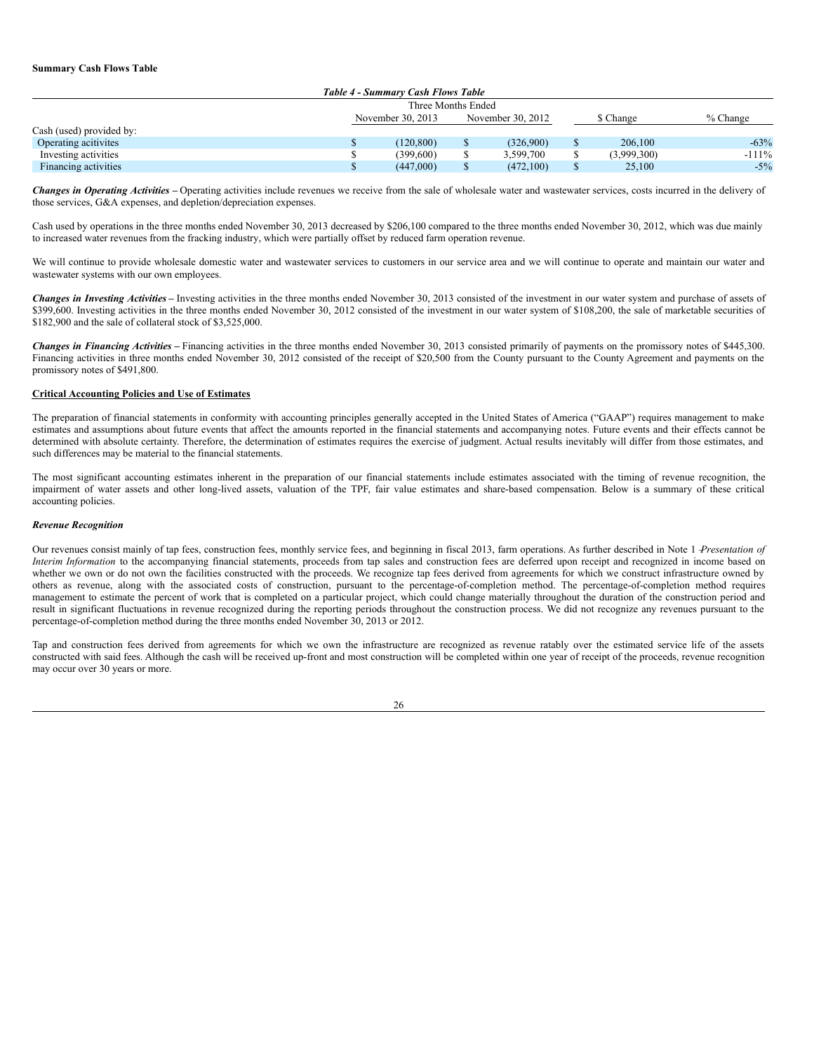#### **Summary Cash Flows Table**

| Table 4 - Summary Cash Flows Table |  |                    |           |            |  |             |          |
|------------------------------------|--|--------------------|-----------|------------|--|-------------|----------|
|                                    |  | Three Months Ended |           |            |  |             |          |
|                                    |  | November 30, 2013  | \$ Change | $%$ Change |  |             |          |
| Cash (used) provided by:           |  |                    |           |            |  |             |          |
| Operating acitivites               |  | (120.800)          |           | (326.900)  |  | 206,100     | $-63%$   |
| Investing activities               |  | (399.600)          |           | 3.599.700  |  | (3,999,300) | $-111\%$ |
| Financing activities               |  | (447,000)          |           | (472,100)  |  | 25,100      | $-5\%$   |

*Changes in Operating Activities –* Operating activities include revenues we receive from the sale of wholesale water and wastewater services, costs incurred in the delivery of those services, G&A expenses, and depletion/depreciation expenses.

Cash used by operations in the three months ended November 30, 2013 decreased by \$206,100 compared to the three months ended November 30, 2012, which was due mainly to increased water revenues from the fracking industry, which were partially offset by reduced farm operation revenue.

We will continue to provide wholesale domestic water and wastewater services to customers in our service area and we will continue to operate and maintain our water and wastewater systems with our own employees.

*Changes in Investing Activities* **–** Investing activities in the three months ended November 30, 2013 consisted of the investment in our water system and purchase of assets of \$399,600. Investing activities in the three months ended November 30, 2012 consisted of the investment in our water system of \$108,200, the sale of marketable securities of \$182,900 and the sale of collateral stock of \$3,525,000.

*Changes in Financing Activities* **–** Financing activities in the three months ended November 30, 2013 consisted primarily of payments on the promissory notes of \$445,300. Financing activities in three months ended November 30, 2012 consisted of the receipt of \$20,500 from the County pursuant to the County Agreement and payments on the promissory notes of \$491,800.

## **Critical Accounting Policies and Use of Estimates**

The preparation of financial statements in conformity with accounting principles generally accepted in the United States of America ("GAAP") requires management to make estimates and assumptions about future events that affect the amounts reported in the financial statements and accompanying notes. Future events and their effects cannot be determined with absolute certainty. Therefore, the determination of estimates requires the exercise of judgment. Actual results inevitably will differ from those estimates, and such differences may be material to the financial statements.

The most significant accounting estimates inherent in the preparation of our financial statements include estimates associated with the timing of revenue recognition, the impairment of water assets and other long-lived assets, valuation of the TPF, fair value estimates and share-based compensation. Below is a summary of these critical accounting policies.

#### *Revenue Recognition*

Our revenues consist mainly of tap fees, construction fees, monthly service fees, and beginning in fiscal 2013, farm operations. As further described in Note 1 *-Presentation of Interim Information* to the accompanying financial statements, proceeds from tap sales and construction fees are deferred upon receipt and recognized in income based on whether we own or do not own the facilities constructed with the proceeds. We recognize tap fees derived from agreements for which we construct infrastructure owned by others as revenue, along with the associated costs of construction, pursuant to the percentage-of-completion method. The percentage-of-completion method requires management to estimate the percent of work that is completed on a particular project, which could change materially throughout the duration of the construction period and result in significant fluctuations in revenue recognized during the reporting periods throughout the construction process. We did not recognize any revenues pursuant to the percentage-of-completion method during the three months ended November 30, 2013 or 2012.

Tap and construction fees derived from agreements for which we own the infrastructure are recognized as revenue ratably over the estimated service life of the assets constructed with said fees. Although the cash will be received up-front and most construction will be completed within one year of receipt of the proceeds, revenue recognition may occur over 30 years or more.

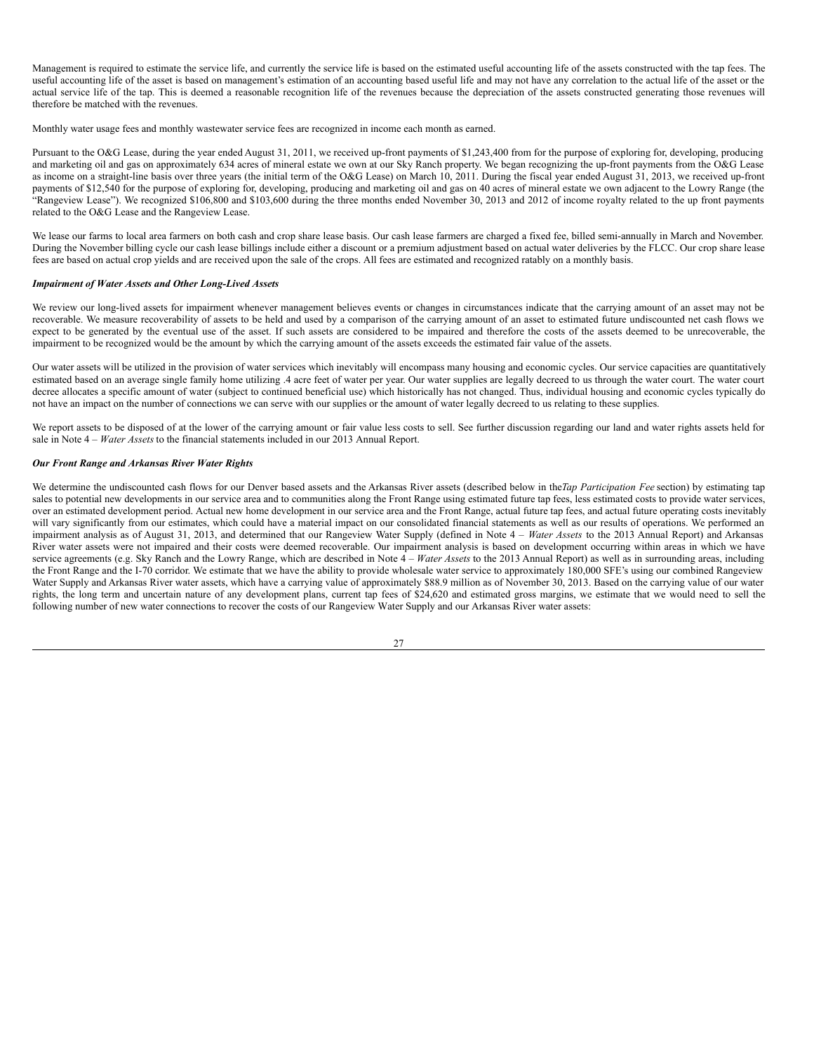Management is required to estimate the service life, and currently the service life is based on the estimated useful accounting life of the assets constructed with the tap fees. The useful accounting life of the asset is based on management's estimation of an accounting based useful life and may not have any correlation to the actual life of the asset or the actual service life of the tap. This is deemed a reasonable recognition life of the revenues because the depreciation of the assets constructed generating those revenues will therefore be matched with the revenues.

Monthly water usage fees and monthly wastewater service fees are recognized in income each month as earned.

Pursuant to the O&G Lease, during the year ended August 31, 2011, we received up-front payments of \$1,243,400 from for the purpose of exploring for, developing, producing and marketing oil and gas on approximately 634 acres of mineral estate we own at our Sky Ranch property. We began recognizing the up-front payments from the O&G Lease as income on a straight-line basis over three years (the initial term of the O&G Lease) on March 10, 2011. During the fiscal year ended August 31, 2013, we received up-front payments of \$12,540 for the purpose of exploring for, developing, producing and marketing oil and gas on 40 acres of mineral estate we own adjacent to the Lowry Range (the "Rangeview Lease"). We recognized \$106,800 and \$103,600 during the three months ended November 30, 2013 and 2012 of income royalty related to the up front payments related to the O&G Lease and the Rangeview Lease.

We lease our farms to local area farmers on both cash and crop share lease basis. Our cash lease farmers are charged a fixed fee, billed semi-annually in March and November. During the November billing cycle our cash lease billings include either a discount or a premium adjustment based on actual water deliveries by the FLCC. Our crop share lease fees are based on actual crop yields and are received upon the sale of the crops. All fees are estimated and recognized ratably on a monthly basis.

#### *Impairment of Water Assets and Other Long-Lived Assets*

We review our long-lived assets for impairment whenever management believes events or changes in circumstances indicate that the carrying amount of an asset may not be recoverable. We measure recoverability of assets to be held and used by a comparison of the carrying amount of an asset to estimated future undiscounted net cash flows we expect to be generated by the eventual use of the asset. If such assets are considered to be impaired and therefore the costs of the assets deemed to be unrecoverable, the impairment to be recognized would be the amount by which the carrying amount of the assets exceeds the estimated fair value of the assets.

Our water assets will be utilized in the provision of water services which inevitably will encompass many housing and economic cycles. Our service capacities are quantitatively estimated based on an average single family home utilizing .4 acre feet of water per year. Our water supplies are legally decreed to us through the water court. The water court decree allocates a specific amount of water (subject to continued beneficial use) which historically has not changed. Thus, individual housing and economic cycles typically do not have an impact on the number of connections we can serve with our supplies or the amount of water legally decreed to us relating to these supplies.

We report assets to be disposed of at the lower of the carrying amount or fair value less costs to sell. See further discussion regarding our land and water rights assets held for sale in Note 4 – *Water Assets* to the financial statements included in our 2013 Annual Report.

#### *Our Front Range and Arkansas River Water Rights*

We determine the undiscounted cash flows for our Denver based assets and the Arkansas River assets (described below in the*Tap Participation Fee* section) by estimating tap sales to potential new developments in our service area and to communities along the Front Range using estimated future tap fees, less estimated costs to provide water services, over an estimated development period. Actual new home development in our service area and the Front Range, actual future tap fees, and actual future operating costs inevitably will vary significantly from our estimates, which could have a material impact on our consolidated financial statements as well as our results of operations. We performed an impairment analysis as of August 31, 2013, and determined that our Rangeview Water Supply (defined in Note 4 – *Water Assets* to the 2013 Annual Report) and Arkansas River water assets were not impaired and their costs were deemed recoverable. Our impairment analysis is based on development occurring within areas in which we have service agreements (e.g. Sky Ranch and the Lowry Range, which are described in Note 4 – *Water Assets* to the 2013 Annual Report) as well as in surrounding areas, including the Front Range and the I-70 corridor. We estimate that we have the ability to provide wholesale water service to approximately 180,000 SFE's using our combined Rangeview Water Supply and Arkansas River water assets, which have a carrying value of approximately \$88.9 million as of November 30, 2013. Based on the carrying value of our water rights, the long term and uncertain nature of any development plans, current tap fees of \$24,620 and estimated gross margins, we estimate that we would need to sell the following number of new water connections to recover the costs of our Rangeview Water Supply and our Arkansas River water assets:

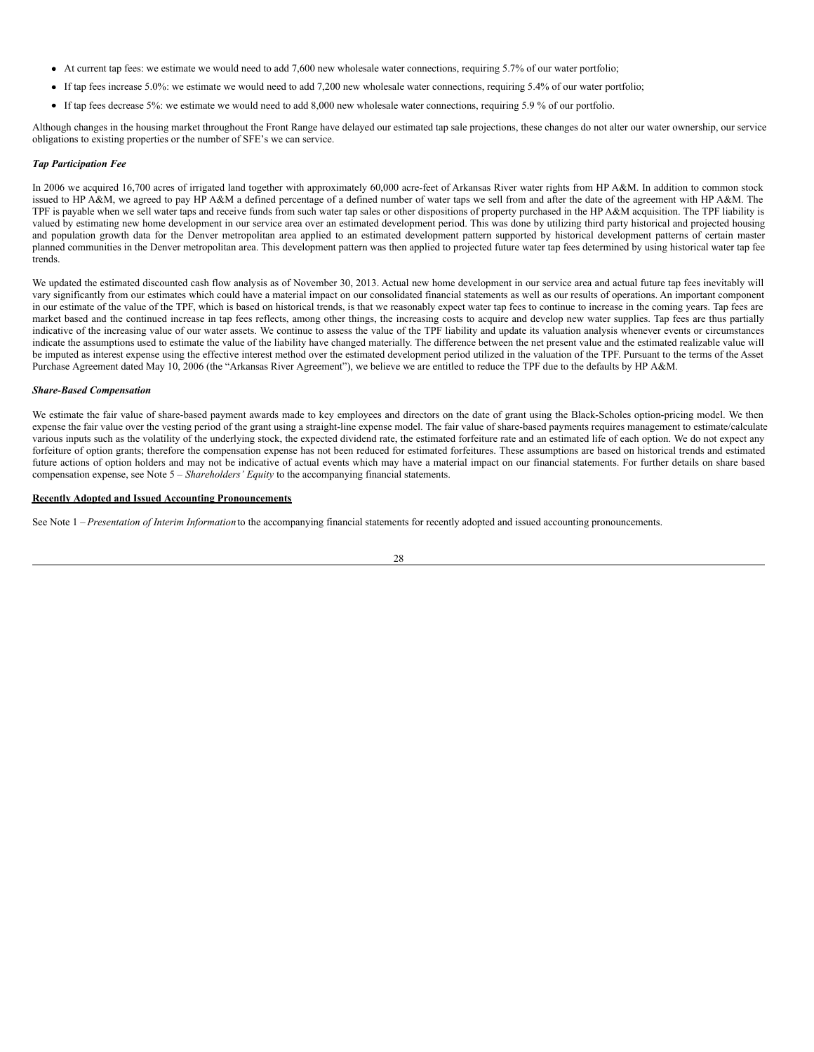- $\bullet$  At current tap fees: we estimate we would need to add 7,600 new wholesale water connections, requiring 5.7% of our water portfolio;
- If tap fees increase 5.0%: we estimate we would need to add 7,200 new wholesale water connections, requiring 5.4% of our water portfolio;
- If tap fees decrease 5%: we estimate we would need to add 8,000 new wholesale water connections, requiring 5.9 % of our portfolio.

Although changes in the housing market throughout the Front Range have delayed our estimated tap sale projections, these changes do not alter our water ownership, our service obligations to existing properties or the number of SFE's we can service.

#### *Tap Participation Fee*

In 2006 we acquired 16,700 acres of irrigated land together with approximately 60,000 acre-feet of Arkansas River water rights from HP A&M. In addition to common stock issued to HP A&M, we agreed to pay HP A&M a defined percentage of a defined number of water taps we sell from and after the date of the agreement with HP A&M. The TPF is payable when we sell water taps and receive funds from such water tap sales or other dispositions of property purchased in the HP A&M acquisition. The TPF liability is valued by estimating new home development in our service area over an estimated development period. This was done by utilizing third party historical and projected housing and population growth data for the Denver metropolitan area applied to an estimated development pattern supported by historical development patterns of certain master planned communities in the Denver metropolitan area. This development pattern was then applied to projected future water tap fees determined by using historical water tap fee trends.

We updated the estimated discounted cash flow analysis as of November 30, 2013. Actual new home development in our service area and actual future tap fees inevitably will vary significantly from our estimates which could have a material impact on our consolidated financial statements as well as our results of operations. An important component in our estimate of the value of the TPF, which is based on historical trends, is that we reasonably expect water tap fees to continue to increase in the coming years. Tap fees are market based and the continued increase in tap fees reflects, among other things, the increasing costs to acquire and develop new water supplies. Tap fees are thus partially indicative of the increasing value of our water assets. We continue to assess the value of the TPF liability and update its valuation analysis whenever events or circumstances indicate the assumptions used to estimate the value of the liability have changed materially. The difference between the net present value and the estimated realizable value will be imputed as interest expense using the effective interest method over the estimated development period utilized in the valuation of the TPF. Pursuant to the terms of the Asset Purchase Agreement dated May 10, 2006 (the "Arkansas River Agreement"), we believe we are entitled to reduce the TPF due to the defaults by HP A&M.

#### *Share-Based Compensation*

We estimate the fair value of share-based payment awards made to key employees and directors on the date of grant using the Black-Scholes option-pricing model. We then expense the fair value over the vesting period of the grant using a straight-line expense model. The fair value of share-based payments requires management to estimate/calculate various inputs such as the volatility of the underlying stock, the expected dividend rate, the estimated forfeiture rate and an estimated life of each option. We do not expect any forfeiture of option grants; therefore the compensation expense has not been reduced for estimated forfeitures. These assumptions are based on historical trends and estimated future actions of option holders and may not be indicative of actual events which may have a material impact on our financial statements. For further details on share based compensation expense, see Note 5 – *Shareholders' Equity* to the accompanying financial statements.

#### **Recently Adopted and Issued Accounting Pronouncements**

See Note 1 – *Presentation of Interim Information* to the accompanying financial statements for recently adopted and issued accounting pronouncements.

$$
28\\
$$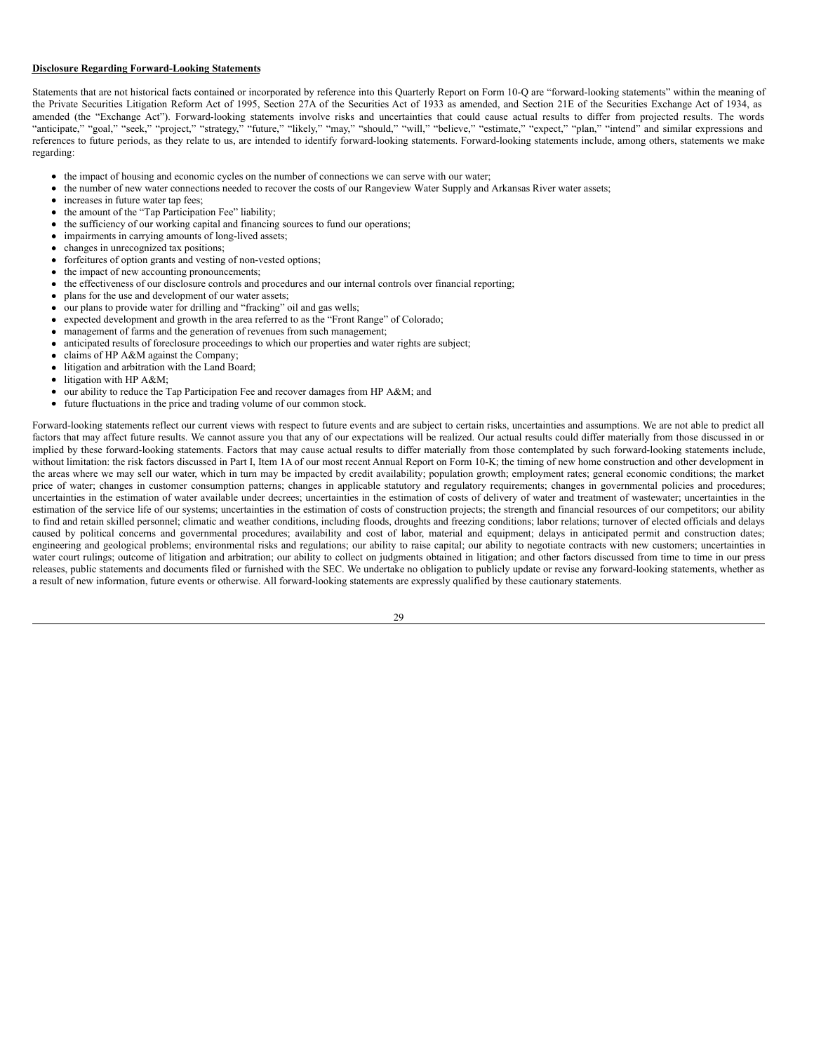#### **Disclosure Regarding Forward-Looking Statements**

Statements that are not historical facts contained or incorporated by reference into this Quarterly Report on Form 10-Q are "forward-looking statements" within the meaning of the Private Securities Litigation Reform Act of 1995, Section 27A of the Securities Act of 1933 as amended, and Section 21E of the Securities Exchange Act of 1934, as amended (the "Exchange Act"). Forward-looking statements involve risks and uncertainties that could cause actual results to differ from projected results. The words "anticipate," "goal," "seek," "project," "strategy," "future," "likely," "may," "should," "will," "believe," "estimate," "expect," "plan," "intend" and similar expressions and references to future periods, as they relate to us, are intended to identify forward-looking statements. Forward-looking statements include, among others, statements we make regarding:

- the impact of housing and economic cycles on the number of connections we can serve with our water;  $\bullet$
- the number of new water connections needed to recover the costs of our Rangeview Water Supply and Arkansas River water assets;  $\bullet$
- increases in future water tap fees;
- the amount of the "Tap Participation Fee" liability;
- the sufficiency of our working capital and financing sources to fund our operations;
- impairments in carrying amounts of long-lived assets;
- changes in unrecognized tax positions;
- forfeitures of option grants and vesting of non-vested options;
- the impact of new accounting pronouncements;
- the effectiveness of our disclosure controls and procedures and our internal controls over financial reporting;
- plans for the use and development of our water assets;
- our plans to provide water for drilling and "fracking" oil and gas wells;
- expected development and growth in the area referred to as the "Front Range" of Colorado;
- management of farms and the generation of revenues from such management;
- anticipated results of foreclosure proceedings to which our properties and water rights are subject;
- claims of HP A&M against the Company;
- litigation and arbitration with the Land Board;
- litigation with HP A&M;
- our ability to reduce the Tap Participation Fee and recover damages from HP A&M; and
- future fluctuations in the price and trading volume of our common stock.

Forward-looking statements reflect our current views with respect to future events and are subject to certain risks, uncertainties and assumptions. We are not able to predict all factors that may affect future results. We cannot assure you that any of our expectations will be realized. Our actual results could differ materially from those discussed in or implied by these forward-looking statements. Factors that may cause actual results to differ materially from those contemplated by such forward-looking statements include, without limitation: the risk factors discussed in Part I, Item 1A of our most recent Annual Report on Form 10-K; the timing of new home construction and other development in the areas where we may sell our water, which in turn may be impacted by credit availability; population growth; employment rates; general economic conditions; the market price of water; changes in customer consumption patterns; changes in applicable statutory and regulatory requirements; changes in governmental policies and procedures; uncertainties in the estimation of water available under decrees; uncertainties in the estimation of costs of delivery of water and treatment of wastewater; uncertainties in the estimation of the service life of our systems; uncertainties in the estimation of costs of construction projects; the strength and financial resources of our competitors; our ability to find and retain skilled personnel; climatic and weather conditions, including floods, droughts and freezing conditions; labor relations; turnover of elected officials and delays caused by political concerns and governmental procedures; availability and cost of labor, material and equipment; delays in anticipated permit and construction dates; engineering and geological problems; environmental risks and regulations; our ability to raise capital; our ability to negotiate contracts with new customers; uncertainties in water court rulings; outcome of litigation and arbitration; our ability to collect on judgments obtained in litigation; and other factors discussed from time to time in our press releases, public statements and documents filed or furnished with the SEC. We undertake no obligation to publicly update or revise any forward-looking statements, whether as a result of new information, future events or otherwise. All forward-looking statements are expressly qualified by these cautionary statements.

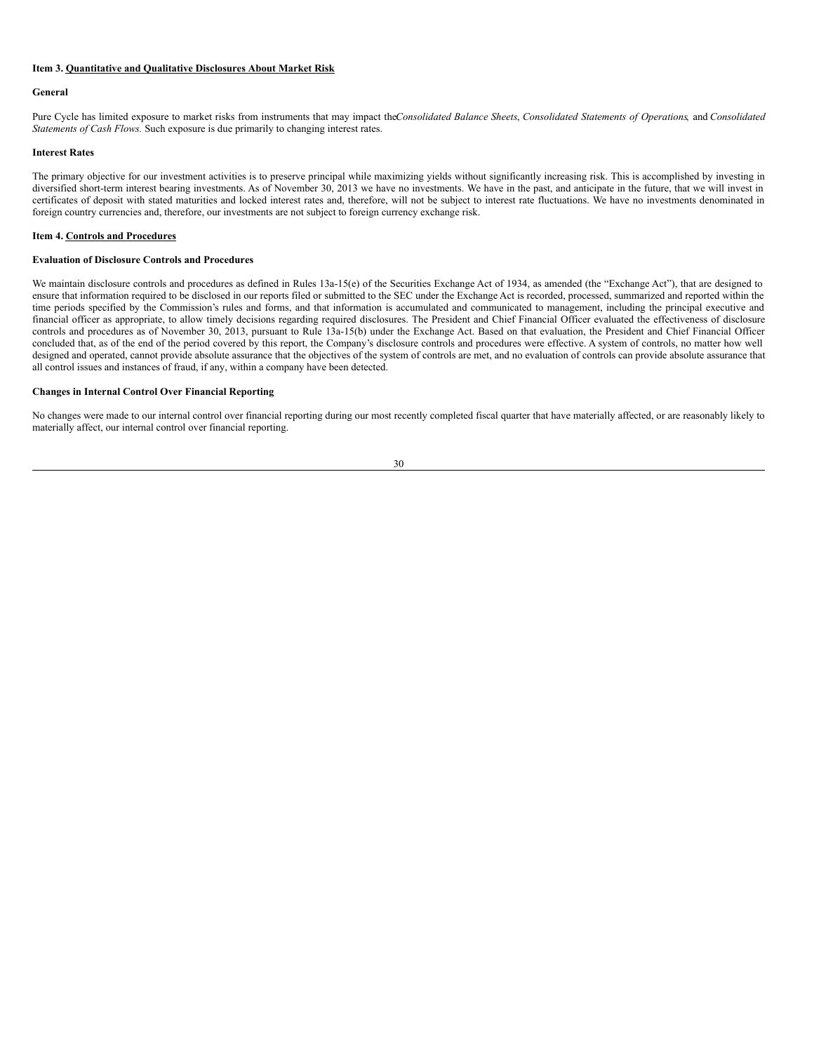#### **Item 3. Quantitative and Qualitative Disclosures About Market Risk**

#### **General**

Pure Cycle has limited exposure to market risks from instruments that may impact the*Consolidated Balance Sheets*, *Consolidated Statements of Operations*, and *Consolidated Statements of Cash Flows.* Such exposure is due primarily to changing interest rates.

#### **Interest Rates**

The primary objective for our investment activities is to preserve principal while maximizing yields without significantly increasing risk. This is accomplished by investing in diversified short-term interest bearing investments. As of November 30, 2013 we have no investments. We have in the past, and anticipate in the future, that we will invest in certificates of deposit with stated maturities and locked interest rates and, therefore, will not be subject to interest rate fluctuations. We have no investments denominated in foreign country currencies and, therefore, our investments are not subject to foreign currency exchange risk.

#### **Item 4. Controls and Procedures**

#### **Evaluation of Disclosure Controls and Procedures**

We maintain disclosure controls and procedures as defined in Rules 13a-15(e) of the Securities Exchange Act of 1934, as amended (the "Exchange Act"), that are designed to ensure that information required to be disclosed in our reports filed or submitted to the SEC under the Exchange Act is recorded, processed, summarized and reported within the time periods specified by the Commission's rules and forms, and that information is accumulated and communicated to management, including the principal executive and financial officer as appropriate, to allow timely decisions regarding required disclosures. The President and Chief Financial Officer evaluated the effectiveness of disclosure controls and procedures as of November 30, 2013, pursuant to Rule 13a-15(b) under the Exchange Act. Based on that evaluation, the President and Chief Financial Officer concluded that, as of the end of the period covered by this report, the Company's disclosure controls and procedures were effective. A system of controls, no matter how well designed and operated, cannot provide absolute assurance that the objectives of the system of controls are met, and no evaluation of controls can provide absolute assurance that all control issues and instances of fraud, if any, within a company have been detected.

#### **Changes in Internal Control Over Financial Reporting**

No changes were made to our internal control over financial reporting during our most recently completed fiscal quarter that have materially affected, or are reasonably likely to materially affect, our internal control over financial reporting.

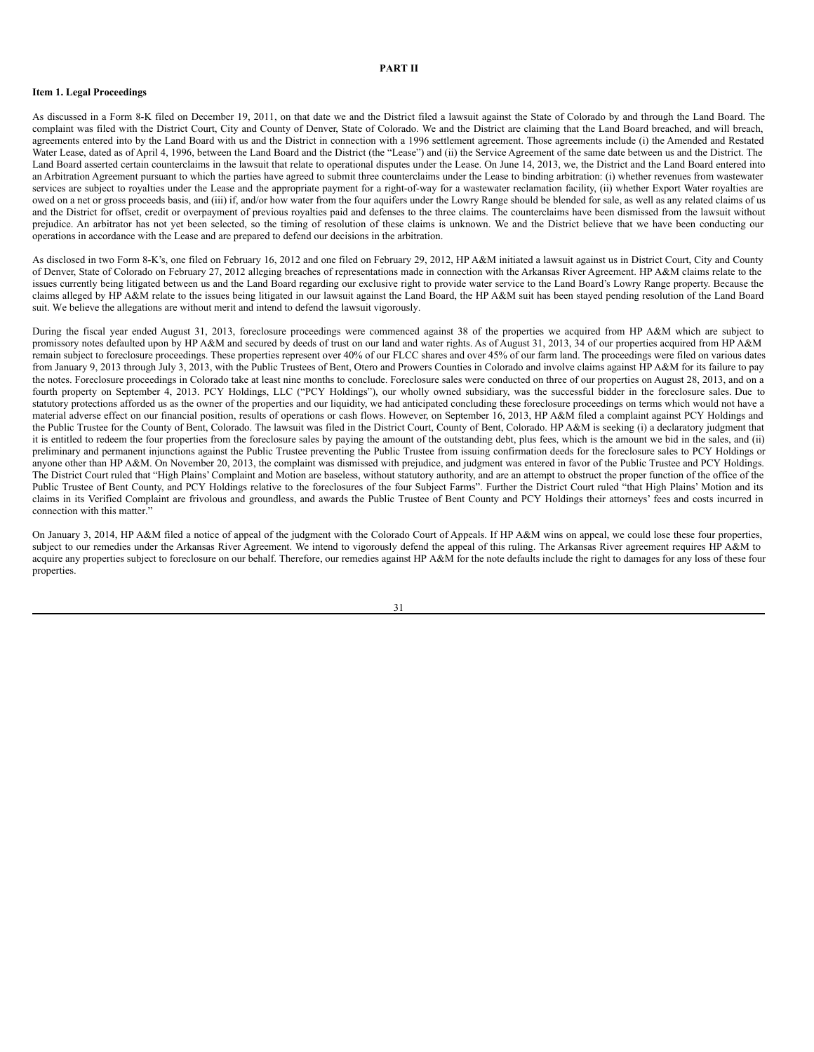#### **PART II**

#### **Item 1. Legal Proceedings**

As discussed in a Form 8-K filed on December 19, 2011, on that date we and the District filed a lawsuit against the State of Colorado by and through the Land Board. The complaint was filed with the District Court, City and County of Denver, State of Colorado. We and the District are claiming that the Land Board breached, and will breach, agreements entered into by the Land Board with us and the District in connection with a 1996 settlement agreement. Those agreements include (i) the Amended and Restated Water Lease, dated as of April 4, 1996, between the Land Board and the District (the "Lease") and (ii) the Service Agreement of the same date between us and the District. The Land Board asserted certain counterclaims in the lawsuit that relate to operational disputes under the Lease. On June 14, 2013, we, the District and the Land Board entered into an Arbitration Agreement pursuant to which the parties have agreed to submit three counterclaims under the Lease to binding arbitration: (i) whether revenues from wastewater services are subject to royalties under the Lease and the appropriate payment for a right-of-way for a wastewater reclamation facility, (ii) whether Export Water royalties are owed on a net or gross proceeds basis, and (iii) if, and/or how water from the four aquifers under the Lowry Range should be blended for sale, as well as any related claims of us and the District for offset, credit or overpayment of previous royalties paid and defenses to the three claims. The counterclaims have been dismissed from the lawsuit without prejudice. An arbitrator has not yet been selected, so the timing of resolution of these claims is unknown. We and the District believe that we have been conducting our operations in accordance with the Lease and are prepared to defend our decisions in the arbitration.

As disclosed in two Form 8-K's, one filed on February 16, 2012 and one filed on February 29, 2012, HP A&M initiated a lawsuit against us in District Court, City and County of Denver, State of Colorado on February 27, 2012 alleging breaches of representations made in connection with the Arkansas River Agreement. HP A&M claims relate to the issues currently being litigated between us and the Land Board regarding our exclusive right to provide water service to the Land Board's Lowry Range property. Because the claims alleged by HP A&M relate to the issues being litigated in our lawsuit against the Land Board, the HP A&M suit has been stayed pending resolution of the Land Board suit. We believe the allegations are without merit and intend to defend the lawsuit vigorously.

During the fiscal year ended August 31, 2013, foreclosure proceedings were commenced against 38 of the properties we acquired from HP A&M which are subject to promissory notes defaulted upon by HP A&M and secured by deeds of trust on our land and water rights. As of August 31, 2013, 34 of our properties acquired from HP A&M remain subject to foreclosure proceedings. These properties represent over 40% of our FLCC shares and over 45% of our farm land. The proceedings were filed on various dates from January 9, 2013 through July 3, 2013, with the Public Trustees of Bent, Otero and Prowers Counties in Colorado and involve claims against HP A&M for its failure to pay the notes. Foreclosure proceedings in Colorado take at least nine months to conclude. Foreclosure sales were conducted on three of our properties on August 28, 2013, and on a fourth property on September 4, 2013. PCY Holdings, LLC ("PCY Holdings"), our wholly owned subsidiary, was the successful bidder in the foreclosure sales. Due to statutory protections afforded us as the owner of the properties and our liquidity, we had anticipated concluding these foreclosure proceedings on terms which would not have a material adverse effect on our financial position, results of operations or cash flows. However, on September 16, 2013, HP A&M filed a complaint against PCY Holdings and the Public Trustee for the County of Bent, Colorado. The lawsuit was filed in the District Court, County of Bent, Colorado. HP A&M is seeking (i) a declaratory judgment that it is entitled to redeem the four properties from the foreclosure sales by paying the amount of the outstanding debt, plus fees, which is the amount we bid in the sales, and (ii) preliminary and permanent injunctions against the Public Trustee preventing the Public Trustee from issuing confirmation deeds for the foreclosure sales to PCY Holdings or anyone other than HP A&M. On November 20, 2013, the complaint was dismissed with prejudice, and judgment was entered in favor of the Public Trustee and PCY Holdings. The District Court ruled that "High Plains' Complaint and Motion are baseless, without statutory authority, and are an attempt to obstruct the proper function of the office of the Public Trustee of Bent County, and PCY Holdings relative to the foreclosures of the four Subject Farms". Further the District Court ruled "that High Plains' Motion and its claims in its Verified Complaint are frivolous and groundless, and awards the Public Trustee of Bent County and PCY Holdings their attorneys' fees and costs incurred in connection with this matter."

On January 3, 2014, HP A&M filed a notice of appeal of the judgment with the Colorado Court of Appeals. If HP A&M wins on appeal, we could lose these four properties, subject to our remedies under the Arkansas River Agreement. We intend to vigorously defend the appeal of this ruling. The Arkansas River agreement requires HP A&M to acquire any properties subject to foreclosure on our behalf. Therefore, our remedies against HP A&M for the note defaults include the right to damages for any loss of these four properties.

31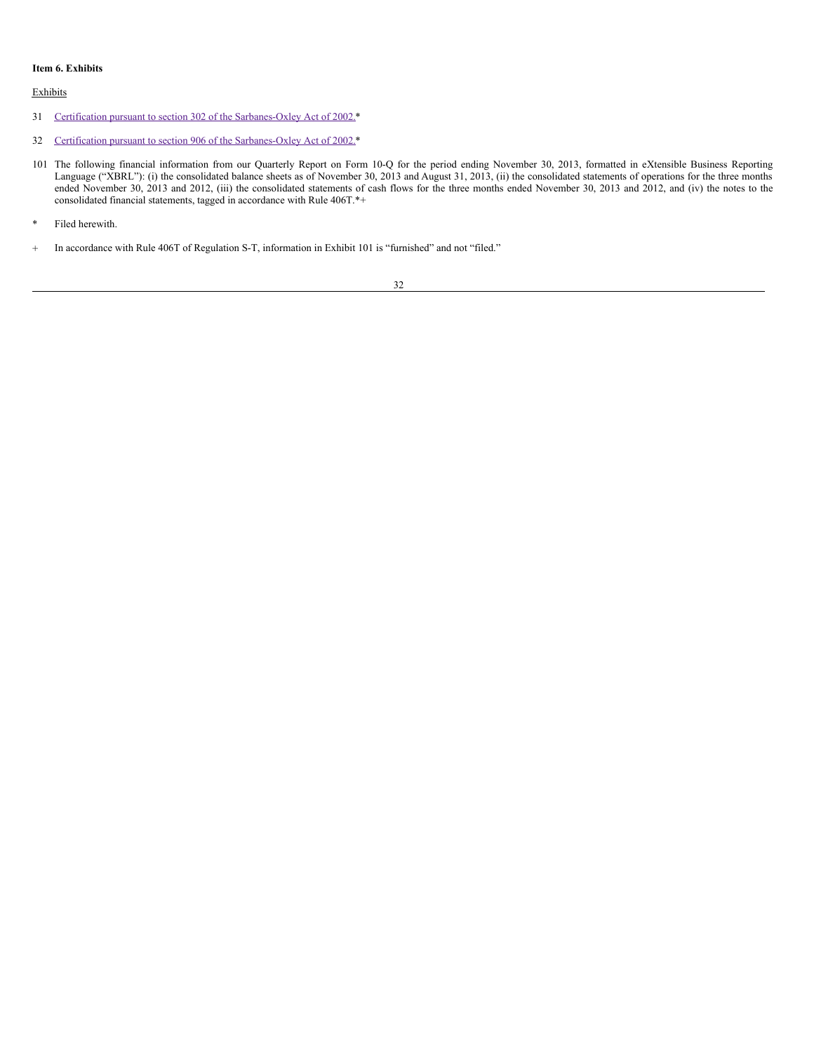## **Item 6. Exhibits**

## Exhibits

- 31 Certification pursuant to section 302 of the [Sarbanes-Oxley](#page-33-0) Act of 2002.\*
- 32 Certification pursuant to section 906 of the [Sarbanes-Oxley](#page-34-0) Act of 2002.\*
- 101 The following financial information from our Quarterly Report on Form 10-Q for the period ending November 30, 2013, formatted in eXtensible Business Reporting Language ("XBRL"): (i) the consolidated balance sheets as of November 30, 2013 and August 31, 2013, (ii) the consolidated statements of operations for the three months ended November 30, 2013 and 2012, (iii) the consolidated statements of cash flows for the three months ended November 30, 2013 and 2012, and (iv) the notes to the consolidated financial statements, tagged in accordance with Rule 406T.\*+
- \* Filed herewith.
- + In accordance with Rule 406T of Regulation S-T, information in Exhibit 101 is "furnished" and not "filed."

#### 32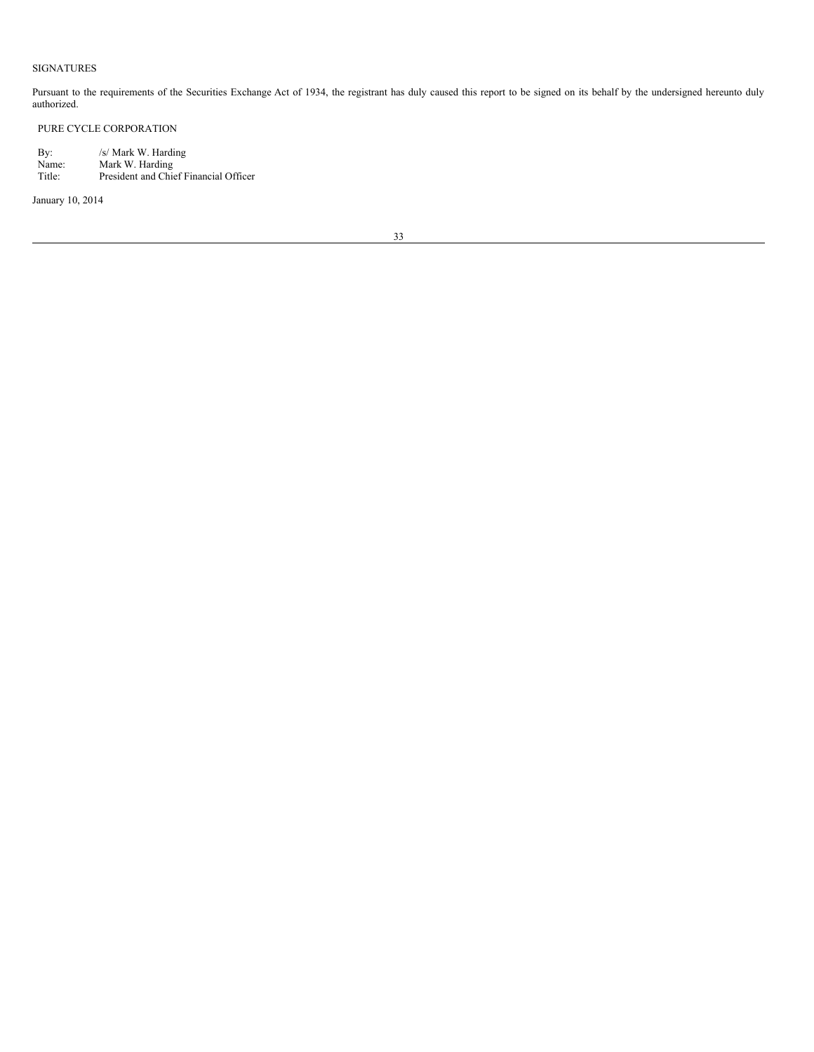## SIGNATURES

Pursuant to the requirements of the Securities Exchange Act of 1934, the registrant has duly caused this report to be signed on its behalf by the undersigned hereunto duly authorized.

## PURE CYCLE CORPORATION

By: /s/ Mark W. Harding Name: Mark W. Harding Title: President and Chief Financial Officer

January 10, 2014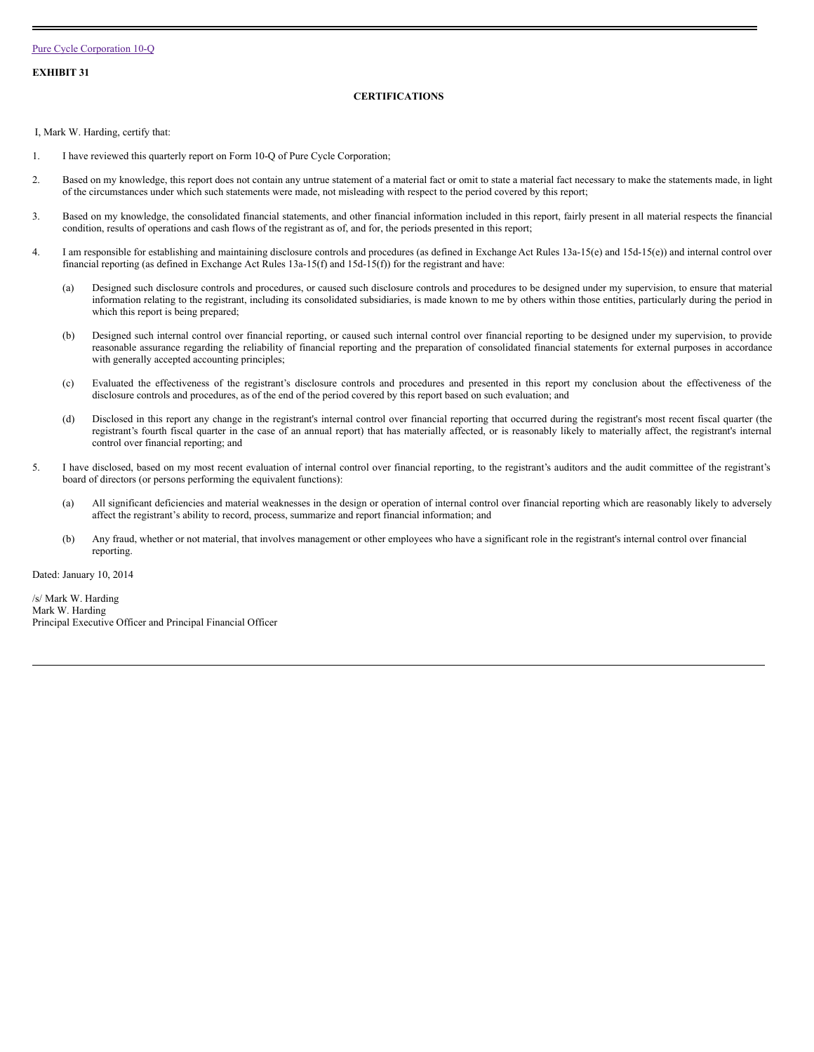<span id="page-33-0"></span>**EXHIBIT 31**

## **CERTIFICATIONS**

I, Mark W. Harding, certify that:

- 1. I have reviewed this quarterly report on Form 10-Q of Pure Cycle Corporation;
- 2. Based on my knowledge, this report does not contain any untrue statement of a material fact or omit to state a material fact necessary to make the statements made, in light of the circumstances under which such statements were made, not misleading with respect to the period covered by this report;
- 3. Based on my knowledge, the consolidated financial statements, and other financial information included in this report, fairly present in all material respects the financial condition, results of operations and cash flows of the registrant as of, and for, the periods presented in this report;
- 4. I am responsible for establishing and maintaining disclosure controls and procedures (as defined in Exchange Act Rules 13a-15(e) and 15d-15(e)) and internal control over financial reporting (as defined in Exchange Act Rules 13a-15(f) and 15d-15(f)) for the registrant and have:
	- (a) Designed such disclosure controls and procedures, or caused such disclosure controls and procedures to be designed under my supervision, to ensure that material information relating to the registrant, including its consolidated subsidiaries, is made known to me by others within those entities, particularly during the period in which this report is being prepared;
	- (b) Designed such internal control over financial reporting, or caused such internal control over financial reporting to be designed under my supervision, to provide reasonable assurance regarding the reliability of financial reporting and the preparation of consolidated financial statements for external purposes in accordance with generally accepted accounting principles;
	- (c) Evaluated the effectiveness of the registrant's disclosure controls and procedures and presented in this report my conclusion about the effectiveness of the disclosure controls and procedures, as of the end of the period covered by this report based on such evaluation; and
	- (d) Disclosed in this report any change in the registrant's internal control over financial reporting that occurred during the registrant's most recent fiscal quarter (the registrant's fourth fiscal quarter in the case of an annual report) that has materially affected, or is reasonably likely to materially affect, the registrant's internal control over financial reporting; and
- 5. I have disclosed, based on my most recent evaluation of internal control over financial reporting, to the registrant's auditors and the audit committee of the registrant's board of directors (or persons performing the equivalent functions):
	- (a) All significant deficiencies and material weaknesses in the design or operation of internal control over financial reporting which are reasonably likely to adversely affect the registrant's ability to record, process, summarize and report financial information; and
	- (b) Any fraud, whether or not material, that involves management or other employees who have a significant role in the registrant's internal control over financial reporting.

Dated: January 10, 2014

/s/ Mark W. Harding Mark W. Harding Principal Executive Officer and Principal Financial Officer